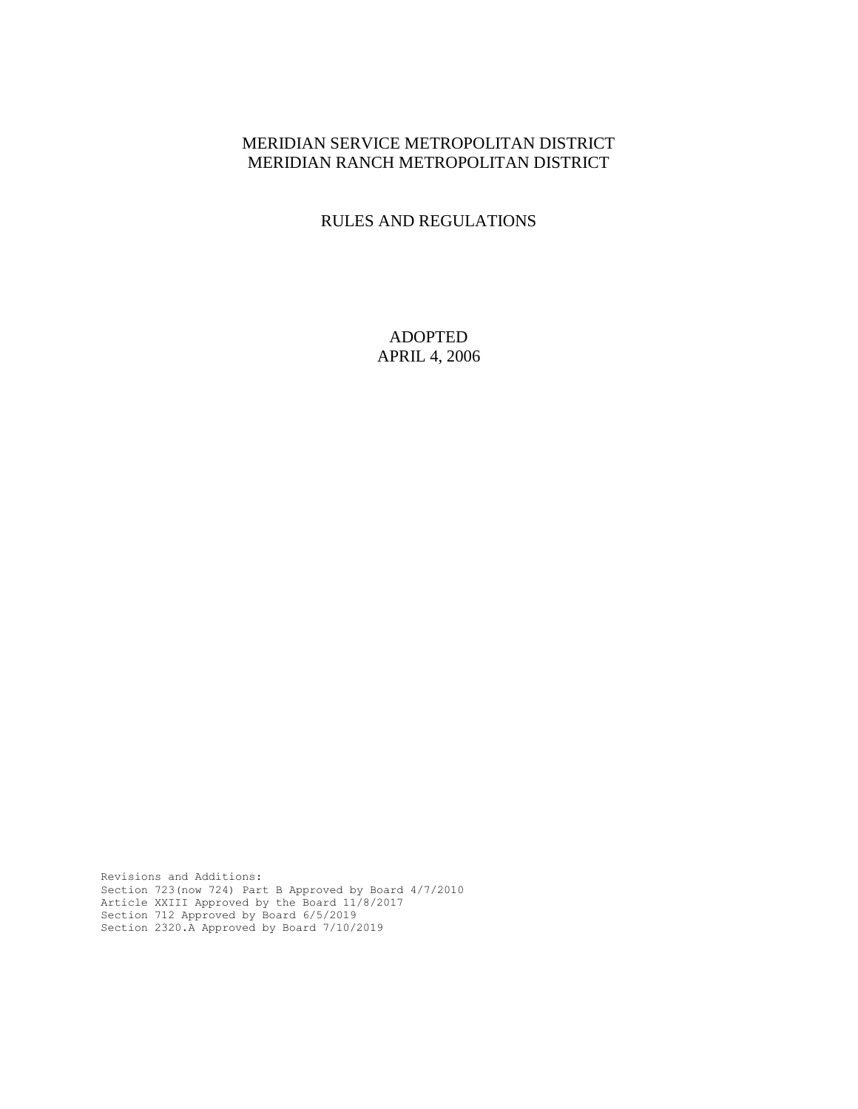### MERIDIAN SERVICE METROPOLITAN DISTRICT MERIDIAN RANCH METROPOLITAN DISTRICT

### RULES AND REGULATIONS

ADOPTED APRIL 4, 2006

Revisions and Additions: Section 723(now 724) Part B Approved by Board 4/7/2010 Article XXIII Approved by the Board 11/8/2017 Section 712 Approved by Board 6/5/2019 Section 2320.A Approved by Board 7/10/2019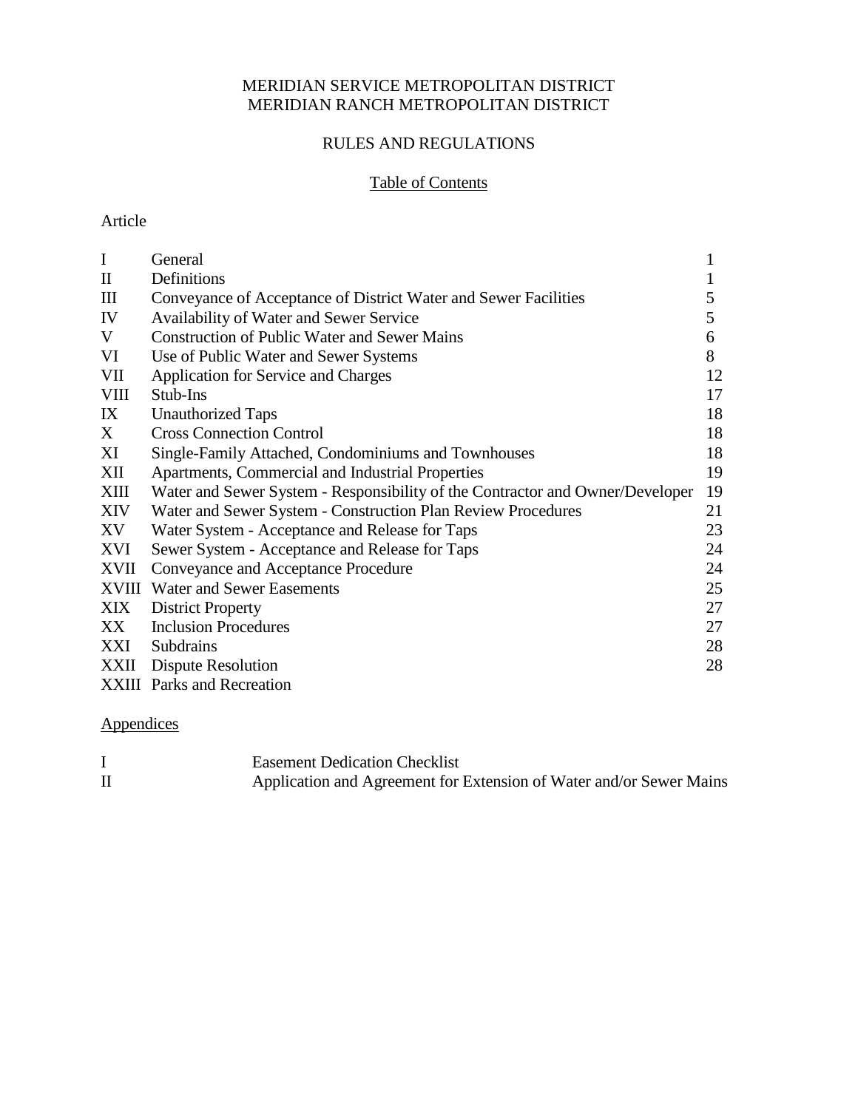### MERIDIAN SERVICE METROPOLITAN DISTRICT MERIDIAN RANCH METROPOLITAN DISTRICT

## RULES AND REGULATIONS

### Table of Contents

### Article

| $\mathbf I$        | General                                                                       | 1  |
|--------------------|-------------------------------------------------------------------------------|----|
| $\mathbf{I}$       | Definitions                                                                   | 1  |
| $\mathop{\rm III}$ | Conveyance of Acceptance of District Water and Sewer Facilities               | 5  |
| IV                 | Availability of Water and Sewer Service                                       | 5  |
| V                  | <b>Construction of Public Water and Sewer Mains</b>                           | 6  |
| VI                 | Use of Public Water and Sewer Systems                                         | 8  |
| VII                | <b>Application for Service and Charges</b>                                    | 12 |
| <b>VIII</b>        | Stub-Ins                                                                      | 17 |
| IX                 | <b>Unauthorized Taps</b>                                                      | 18 |
| X                  | <b>Cross Connection Control</b>                                               | 18 |
| XI                 | Single-Family Attached, Condominiums and Townhouses                           | 18 |
| XII                | Apartments, Commercial and Industrial Properties                              | 19 |
| XIII               | Water and Sewer System - Responsibility of the Contractor and Owner/Developer | 19 |
| XIV                | Water and Sewer System - Construction Plan Review Procedures                  | 21 |
| XV                 | Water System - Acceptance and Release for Taps                                | 23 |
| XVI                | Sewer System - Acceptance and Release for Taps                                | 24 |
| <b>XVII</b>        | Conveyance and Acceptance Procedure                                           | 24 |
|                    | <b>XVIII</b> Water and Sewer Easements                                        | 25 |
| XIX                | <b>District Property</b>                                                      | 27 |
| XX                 | <b>Inclusion Procedures</b>                                                   | 27 |
| XXI                | Subdrains                                                                     | 28 |
| XXII               | Dispute Resolution                                                            | 28 |
|                    | <b>XXIII</b> Parks and Recreation                                             |    |

# Appendices

| <b>Easement Dedication Checklist</b>                                |
|---------------------------------------------------------------------|
| Application and Agreement for Extension of Water and/or Sewer Mains |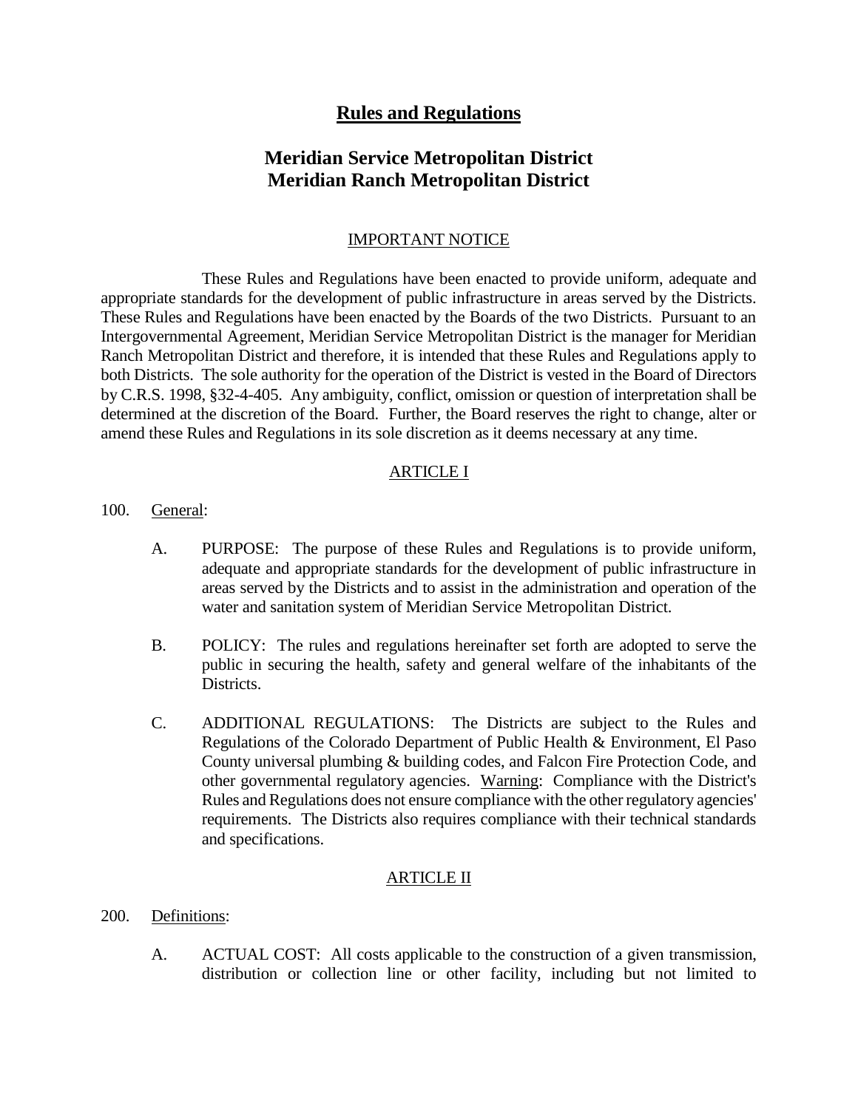## **Rules and Regulations**

## **Meridian Service Metropolitan District Meridian Ranch Metropolitan District**

#### IMPORTANT NOTICE

These Rules and Regulations have been enacted to provide uniform, adequate and appropriate standards for the development of public infrastructure in areas served by the Districts. These Rules and Regulations have been enacted by the Boards of the two Districts. Pursuant to an Intergovernmental Agreement, Meridian Service Metropolitan District is the manager for Meridian Ranch Metropolitan District and therefore, it is intended that these Rules and Regulations apply to both Districts. The sole authority for the operation of the District is vested in the Board of Directors by C.R.S. 1998, §32-4-405. Any ambiguity, conflict, omission or question of interpretation shall be determined at the discretion of the Board. Further, the Board reserves the right to change, alter or amend these Rules and Regulations in its sole discretion as it deems necessary at any time.

#### ARTICLE I

- 100. General:
	- A. PURPOSE: The purpose of these Rules and Regulations is to provide uniform, adequate and appropriate standards for the development of public infrastructure in areas served by the Districts and to assist in the administration and operation of the water and sanitation system of Meridian Service Metropolitan District.
	- B. POLICY: The rules and regulations hereinafter set forth are adopted to serve the public in securing the health, safety and general welfare of the inhabitants of the Districts.
	- C. ADDITIONAL REGULATIONS: The Districts are subject to the Rules and Regulations of the Colorado Department of Public Health & Environment, El Paso County universal plumbing & building codes, and Falcon Fire Protection Code, and other governmental regulatory agencies. Warning: Compliance with the District's Rules and Regulations does not ensure compliance with the other regulatory agencies' requirements. The Districts also requires compliance with their technical standards and specifications.

### ARTICLE II

- 200. Definitions:
	- A. ACTUAL COST: All costs applicable to the construction of a given transmission, distribution or collection line or other facility, including but not limited to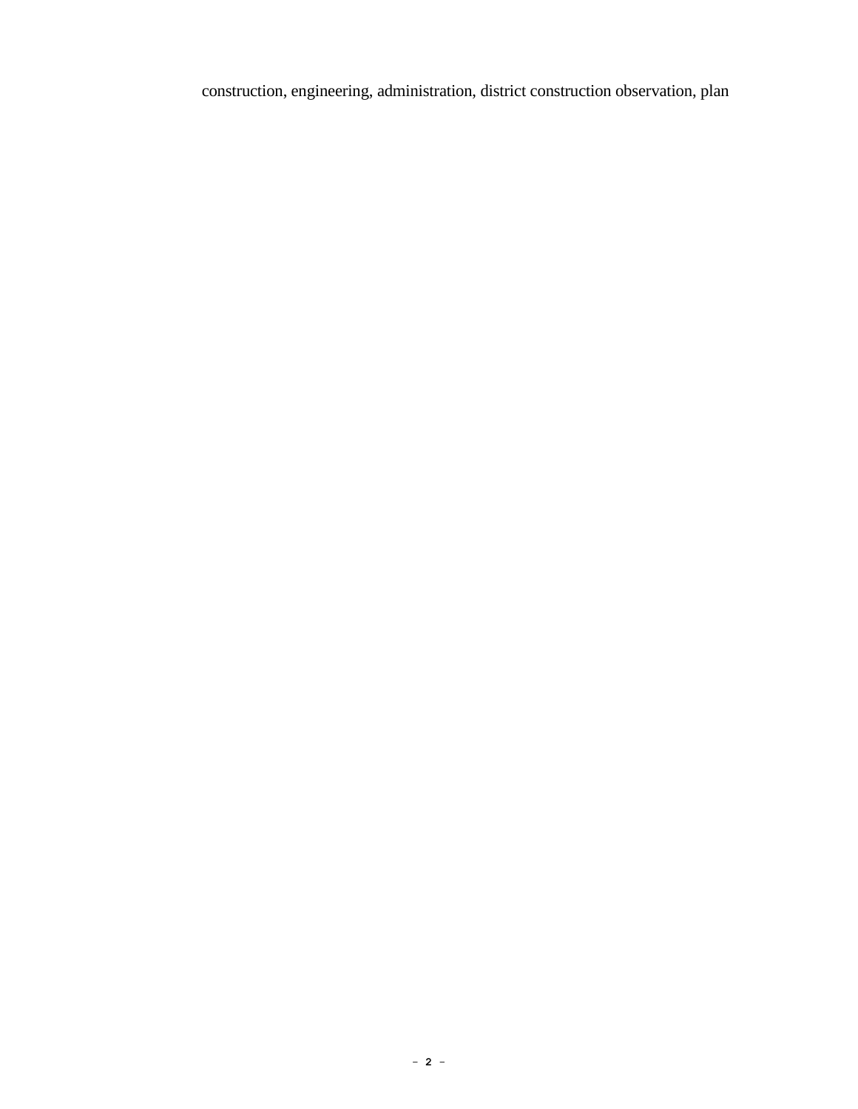construction, engineering, administration, district construction observation, plan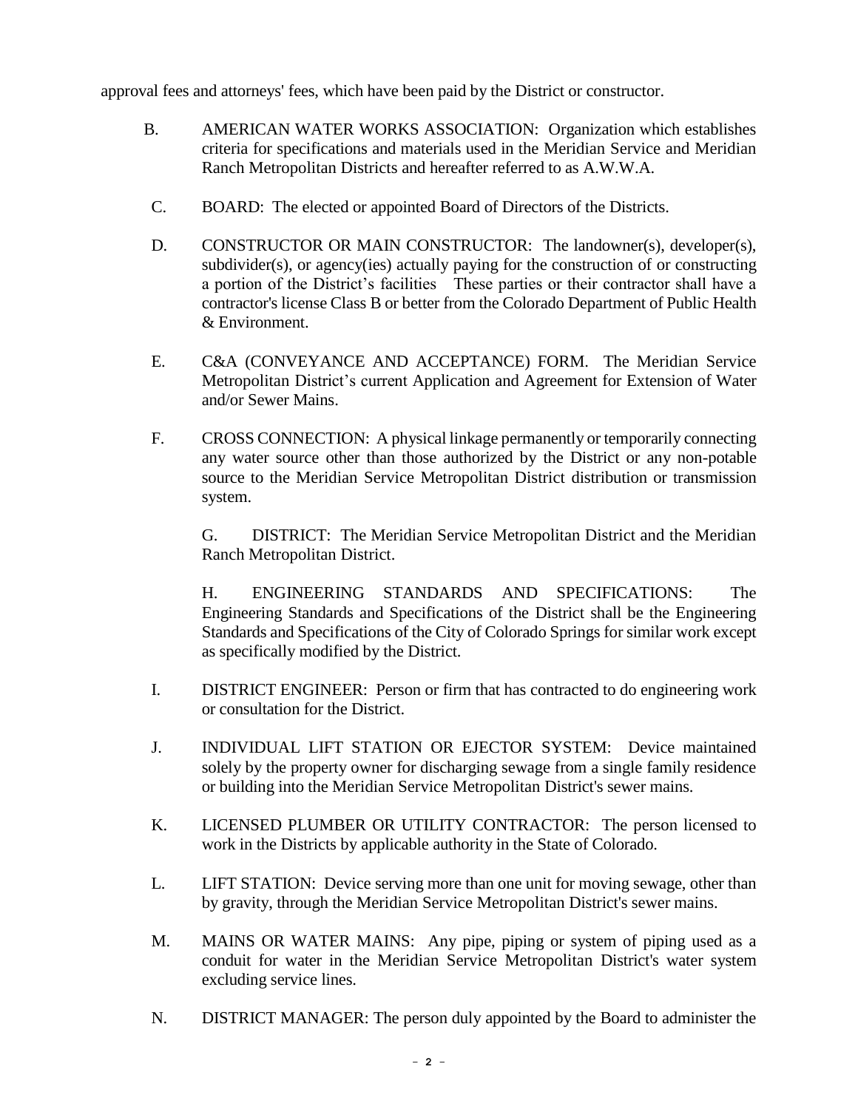approval fees and attorneys' fees, which have been paid by the District or constructor.

- B. AMERICAN WATER WORKS ASSOCIATION: Organization which establishes criteria for specifications and materials used in the Meridian Service and Meridian Ranch Metropolitan Districts and hereafter referred to as A.W.W.A.
- C. BOARD: The elected or appointed Board of Directors of the Districts.
- D. CONSTRUCTOR OR MAIN CONSTRUCTOR: The landowner(s), developer(s), subdivider(s), or agency(ies) actually paying for the construction of or constructing a portion of the District's facilities These parties or their contractor shall have a contractor's license Class B or better from the Colorado Department of Public Health & Environment.
- E. C&A (CONVEYANCE AND ACCEPTANCE) FORM. The Meridian Service Metropolitan District's current Application and Agreement for Extension of Water and/or Sewer Mains.
- F. CROSS CONNECTION: A physical linkage permanently or temporarily connecting any water source other than those authorized by the District or any non-potable source to the Meridian Service Metropolitan District distribution or transmission system.

G. DISTRICT: The Meridian Service Metropolitan District and the Meridian Ranch Metropolitan District.

H. ENGINEERING STANDARDS AND SPECIFICATIONS: The Engineering Standards and Specifications of the District shall be the Engineering Standards and Specifications of the City of Colorado Springs for similar work except as specifically modified by the District.

- I. DISTRICT ENGINEER: Person or firm that has contracted to do engineering work or consultation for the District.
- J. INDIVIDUAL LIFT STATION OR EJECTOR SYSTEM: Device maintained solely by the property owner for discharging sewage from a single family residence or building into the Meridian Service Metropolitan District's sewer mains.
- K. LICENSED PLUMBER OR UTILITY CONTRACTOR: The person licensed to work in the Districts by applicable authority in the State of Colorado.
- L. LIFT STATION: Device serving more than one unit for moving sewage, other than by gravity, through the Meridian Service Metropolitan District's sewer mains.
- M. MAINS OR WATER MAINS: Any pipe, piping or system of piping used as a conduit for water in the Meridian Service Metropolitan District's water system excluding service lines.
- N. DISTRICT MANAGER: The person duly appointed by the Board to administer the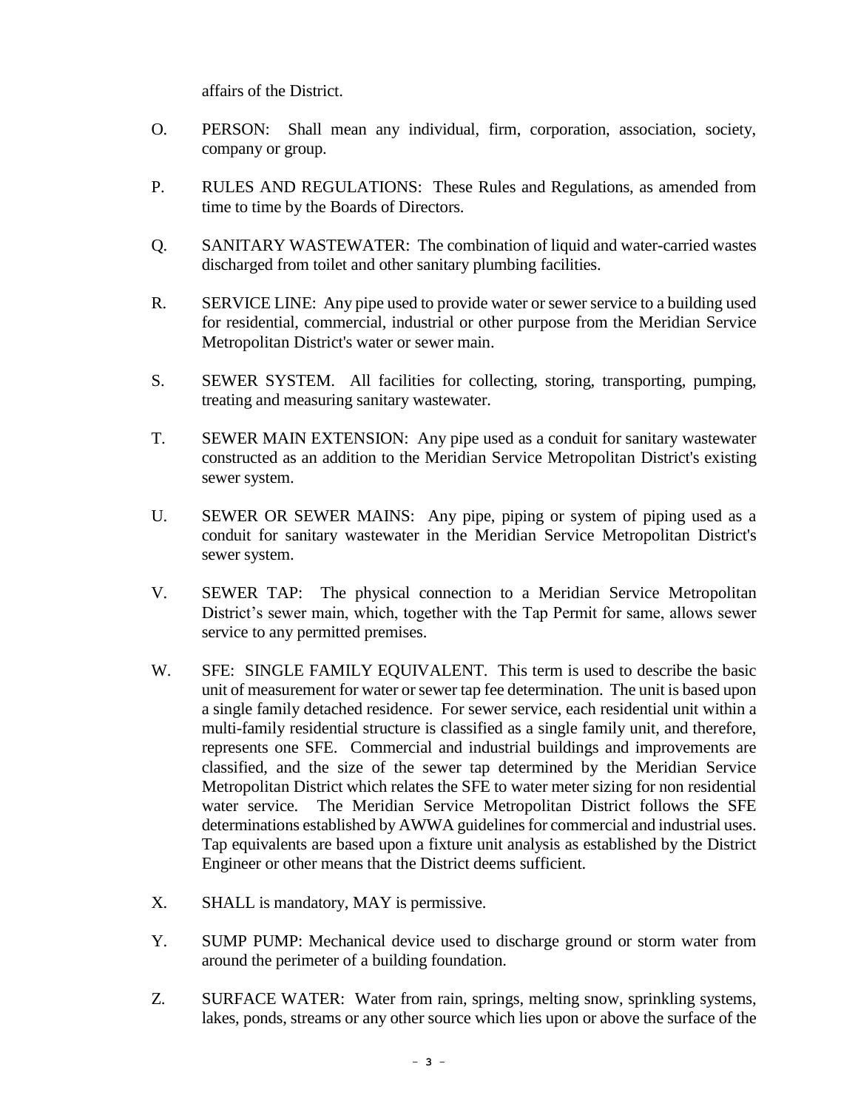affairs of the District.

- O. PERSON: Shall mean any individual, firm, corporation, association, society, company or group.
- P. RULES AND REGULATIONS: These Rules and Regulations, as amended from time to time by the Boards of Directors.
- Q. SANITARY WASTEWATER: The combination of liquid and water-carried wastes discharged from toilet and other sanitary plumbing facilities.
- R. SERVICE LINE: Any pipe used to provide water or sewer service to a building used for residential, commercial, industrial or other purpose from the Meridian Service Metropolitan District's water or sewer main.
- S. SEWER SYSTEM. All facilities for collecting, storing, transporting, pumping, treating and measuring sanitary wastewater.
- T. SEWER MAIN EXTENSION: Any pipe used as a conduit for sanitary wastewater constructed as an addition to the Meridian Service Metropolitan District's existing sewer system.
- U. SEWER OR SEWER MAINS: Any pipe, piping or system of piping used as a conduit for sanitary wastewater in the Meridian Service Metropolitan District's sewer system.
- V. SEWER TAP: The physical connection to a Meridian Service Metropolitan District's sewer main, which, together with the Tap Permit for same, allows sewer service to any permitted premises.
- W. SFE: SINGLE FAMILY EQUIVALENT. This term is used to describe the basic unit of measurement for water or sewer tap fee determination. The unit is based upon a single family detached residence. For sewer service, each residential unit within a multi-family residential structure is classified as a single family unit, and therefore, represents one SFE. Commercial and industrial buildings and improvements are classified, and the size of the sewer tap determined by the Meridian Service Metropolitan District which relates the SFE to water meter sizing for non residential water service. The Meridian Service Metropolitan District follows the SFE determinations established by AWWA guidelines for commercial and industrial uses. Tap equivalents are based upon a fixture unit analysis as established by the District Engineer or other means that the District deems sufficient.
- X. SHALL is mandatory, MAY is permissive.
- Y. SUMP PUMP: Mechanical device used to discharge ground or storm water from around the perimeter of a building foundation.
- Z. SURFACE WATER: Water from rain, springs, melting snow, sprinkling systems, lakes, ponds, streams or any other source which lies upon or above the surface of the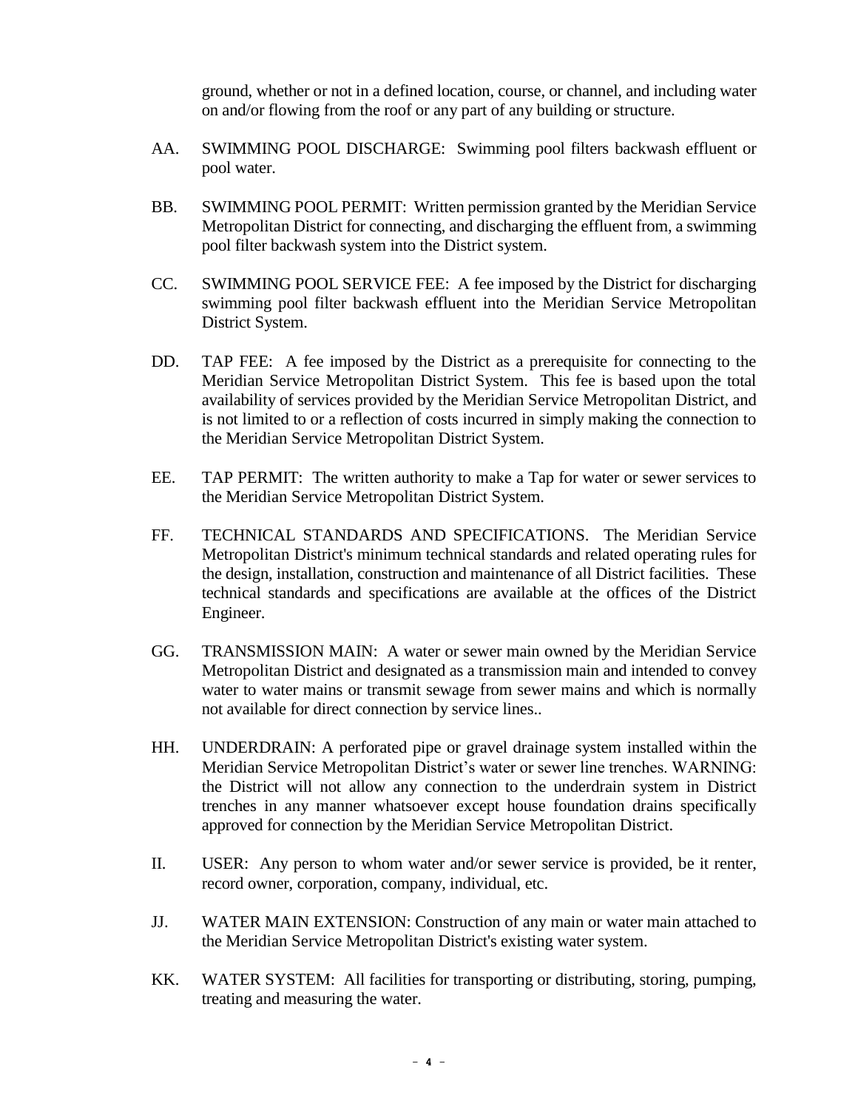ground, whether or not in a defined location, course, or channel, and including water on and/or flowing from the roof or any part of any building or structure.

- AA. SWIMMING POOL DISCHARGE: Swimming pool filters backwash effluent or pool water.
- BB. SWIMMING POOL PERMIT: Written permission granted by the Meridian Service Metropolitan District for connecting, and discharging the effluent from, a swimming pool filter backwash system into the District system.
- CC. SWIMMING POOL SERVICE FEE: A fee imposed by the District for discharging swimming pool filter backwash effluent into the Meridian Service Metropolitan District System.
- DD. TAP FEE: A fee imposed by the District as a prerequisite for connecting to the Meridian Service Metropolitan District System. This fee is based upon the total availability of services provided by the Meridian Service Metropolitan District, and is not limited to or a reflection of costs incurred in simply making the connection to the Meridian Service Metropolitan District System.
- EE. TAP PERMIT: The written authority to make a Tap for water or sewer services to the Meridian Service Metropolitan District System.
- FF. TECHNICAL STANDARDS AND SPECIFICATIONS. The Meridian Service Metropolitan District's minimum technical standards and related operating rules for the design, installation, construction and maintenance of all District facilities. These technical standards and specifications are available at the offices of the District Engineer.
- GG. TRANSMISSION MAIN: A water or sewer main owned by the Meridian Service Metropolitan District and designated as a transmission main and intended to convey water to water mains or transmit sewage from sewer mains and which is normally not available for direct connection by service lines..
- HH. UNDERDRAIN: A perforated pipe or gravel drainage system installed within the Meridian Service Metropolitan District's water or sewer line trenches. WARNING: the District will not allow any connection to the underdrain system in District trenches in any manner whatsoever except house foundation drains specifically approved for connection by the Meridian Service Metropolitan District.
- II. USER: Any person to whom water and/or sewer service is provided, be it renter, record owner, corporation, company, individual, etc.
- JJ. WATER MAIN EXTENSION: Construction of any main or water main attached to the Meridian Service Metropolitan District's existing water system.
- KK. WATER SYSTEM: All facilities for transporting or distributing, storing, pumping, treating and measuring the water.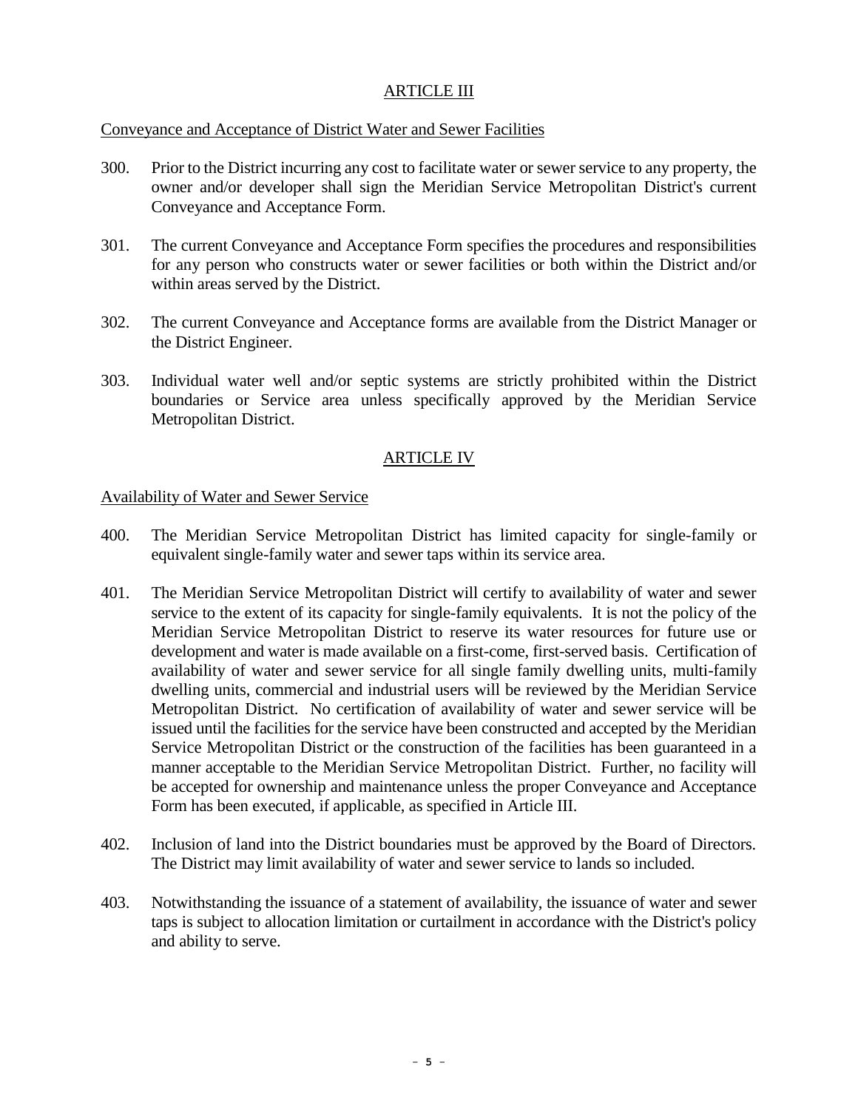### ARTICLE III

### Conveyance and Acceptance of District Water and Sewer Facilities

- 300. Prior to the District incurring any cost to facilitate water or sewer service to any property, the owner and/or developer shall sign the Meridian Service Metropolitan District's current Conveyance and Acceptance Form.
- 301. The current Conveyance and Acceptance Form specifies the procedures and responsibilities for any person who constructs water or sewer facilities or both within the District and/or within areas served by the District.
- 302. The current Conveyance and Acceptance forms are available from the District Manager or the District Engineer.
- 303. Individual water well and/or septic systems are strictly prohibited within the District boundaries or Service area unless specifically approved by the Meridian Service Metropolitan District.

### ARTICLE IV

#### Availability of Water and Sewer Service

- 400. The Meridian Service Metropolitan District has limited capacity for single-family or equivalent single-family water and sewer taps within its service area.
- 401. The Meridian Service Metropolitan District will certify to availability of water and sewer service to the extent of its capacity for single-family equivalents. It is not the policy of the Meridian Service Metropolitan District to reserve its water resources for future use or development and water is made available on a first-come, first-served basis. Certification of availability of water and sewer service for all single family dwelling units, multi-family dwelling units, commercial and industrial users will be reviewed by the Meridian Service Metropolitan District. No certification of availability of water and sewer service will be issued until the facilities for the service have been constructed and accepted by the Meridian Service Metropolitan District or the construction of the facilities has been guaranteed in a manner acceptable to the Meridian Service Metropolitan District. Further, no facility will be accepted for ownership and maintenance unless the proper Conveyance and Acceptance Form has been executed, if applicable, as specified in Article III.
- 402. Inclusion of land into the District boundaries must be approved by the Board of Directors. The District may limit availability of water and sewer service to lands so included.
- 403. Notwithstanding the issuance of a statement of availability, the issuance of water and sewer taps is subject to allocation limitation or curtailment in accordance with the District's policy and ability to serve.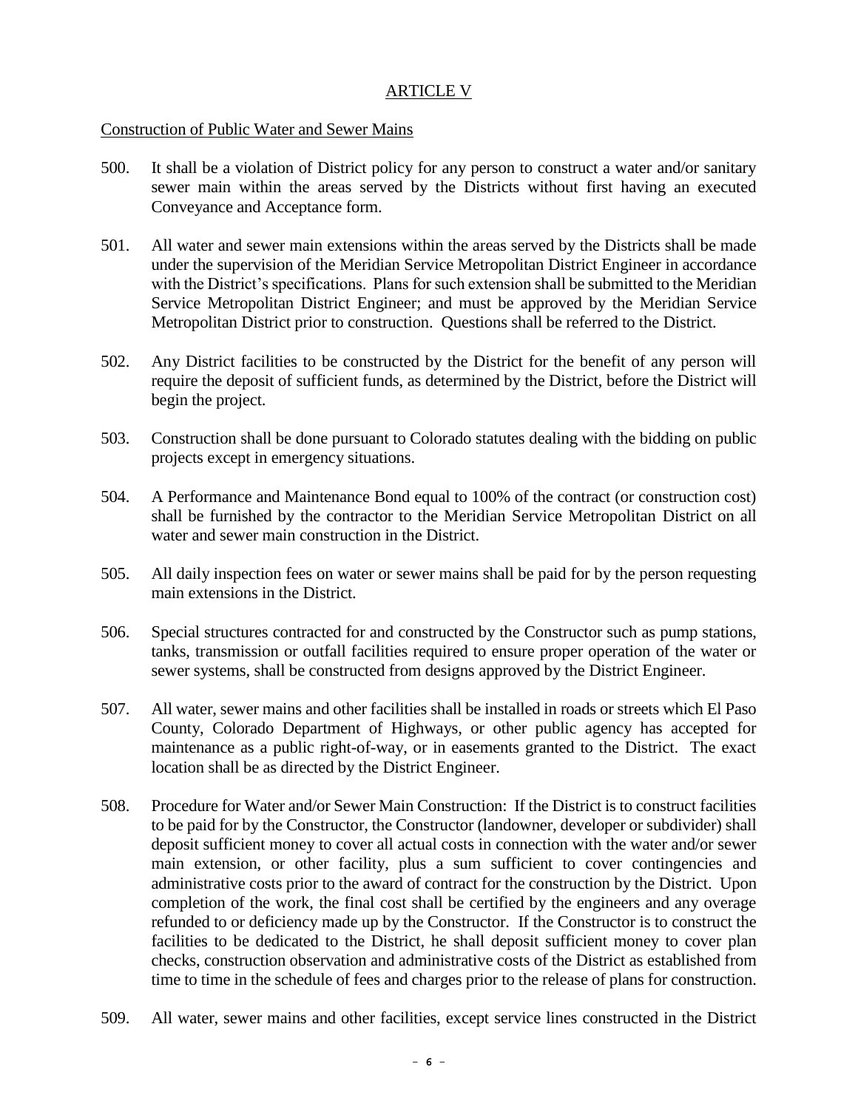#### ARTICLE V

#### Construction of Public Water and Sewer Mains

- 500. It shall be a violation of District policy for any person to construct a water and/or sanitary sewer main within the areas served by the Districts without first having an executed Conveyance and Acceptance form.
- 501. All water and sewer main extensions within the areas served by the Districts shall be made under the supervision of the Meridian Service Metropolitan District Engineer in accordance with the District's specifications. Plans for such extension shall be submitted to the Meridian Service Metropolitan District Engineer; and must be approved by the Meridian Service Metropolitan District prior to construction. Questions shall be referred to the District.
- 502. Any District facilities to be constructed by the District for the benefit of any person will require the deposit of sufficient funds, as determined by the District, before the District will begin the project.
- 503. Construction shall be done pursuant to Colorado statutes dealing with the bidding on public projects except in emergency situations.
- 504. A Performance and Maintenance Bond equal to 100% of the contract (or construction cost) shall be furnished by the contractor to the Meridian Service Metropolitan District on all water and sewer main construction in the District.
- 505. All daily inspection fees on water or sewer mains shall be paid for by the person requesting main extensions in the District.
- 506. Special structures contracted for and constructed by the Constructor such as pump stations, tanks, transmission or outfall facilities required to ensure proper operation of the water or sewer systems, shall be constructed from designs approved by the District Engineer.
- 507. All water, sewer mains and other facilities shall be installed in roads or streets which El Paso County, Colorado Department of Highways, or other public agency has accepted for maintenance as a public right-of-way, or in easements granted to the District. The exact location shall be as directed by the District Engineer.
- 508. Procedure for Water and/or Sewer Main Construction: If the District is to construct facilities to be paid for by the Constructor, the Constructor (landowner, developer or subdivider) shall deposit sufficient money to cover all actual costs in connection with the water and/or sewer main extension, or other facility, plus a sum sufficient to cover contingencies and administrative costs prior to the award of contract for the construction by the District. Upon completion of the work, the final cost shall be certified by the engineers and any overage refunded to or deficiency made up by the Constructor. If the Constructor is to construct the facilities to be dedicated to the District, he shall deposit sufficient money to cover plan checks, construction observation and administrative costs of the District as established from time to time in the schedule of fees and charges prior to the release of plans for construction.
- 509. All water, sewer mains and other facilities, except service lines constructed in the District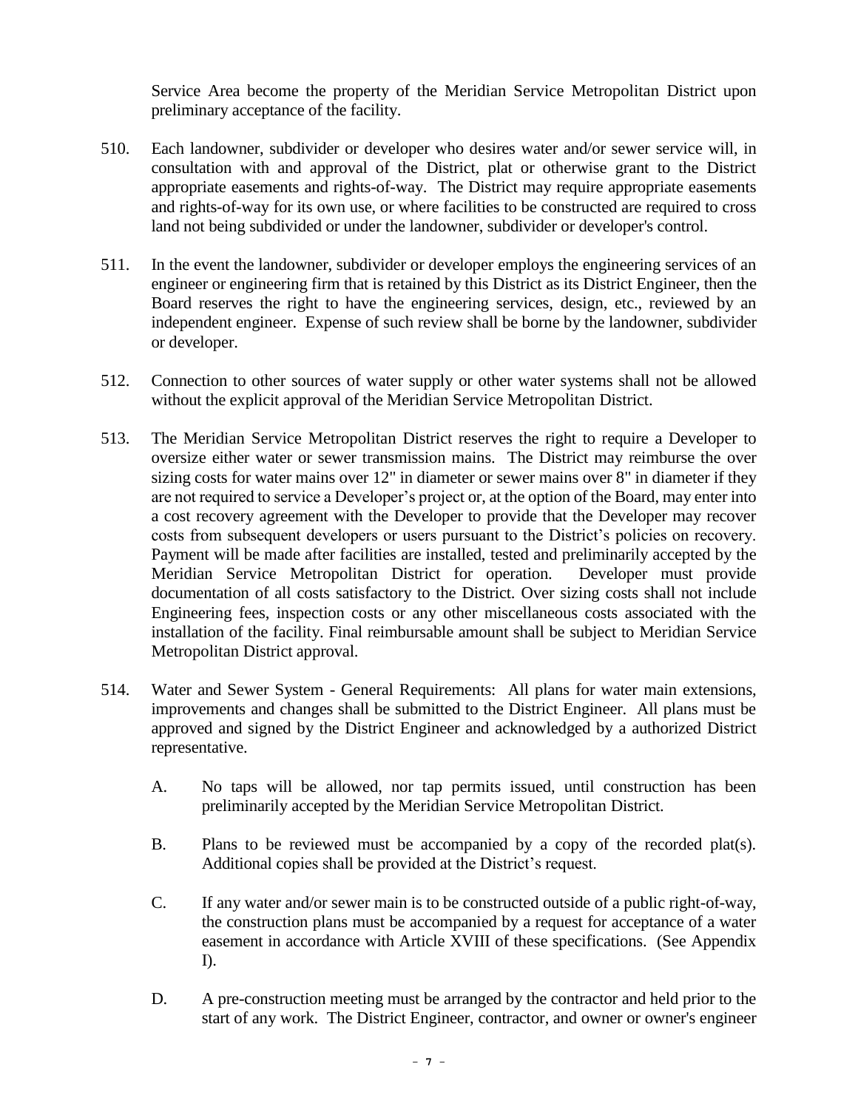Service Area become the property of the Meridian Service Metropolitan District upon preliminary acceptance of the facility.

- 510. Each landowner, subdivider or developer who desires water and/or sewer service will, in consultation with and approval of the District, plat or otherwise grant to the District appropriate easements and rights-of-way. The District may require appropriate easements and rights-of-way for its own use, or where facilities to be constructed are required to cross land not being subdivided or under the landowner, subdivider or developer's control.
- 511. In the event the landowner, subdivider or developer employs the engineering services of an engineer or engineering firm that is retained by this District as its District Engineer, then the Board reserves the right to have the engineering services, design, etc., reviewed by an independent engineer. Expense of such review shall be borne by the landowner, subdivider or developer.
- 512. Connection to other sources of water supply or other water systems shall not be allowed without the explicit approval of the Meridian Service Metropolitan District.
- 513. The Meridian Service Metropolitan District reserves the right to require a Developer to oversize either water or sewer transmission mains. The District may reimburse the over sizing costs for water mains over 12" in diameter or sewer mains over 8" in diameter if they are not required to service a Developer's project or, at the option of the Board, may enter into a cost recovery agreement with the Developer to provide that the Developer may recover costs from subsequent developers or users pursuant to the District's policies on recovery. Payment will be made after facilities are installed, tested and preliminarily accepted by the Meridian Service Metropolitan District for operation. Developer must provide documentation of all costs satisfactory to the District. Over sizing costs shall not include Engineering fees, inspection costs or any other miscellaneous costs associated with the installation of the facility. Final reimbursable amount shall be subject to Meridian Service Metropolitan District approval.
- 514. Water and Sewer System General Requirements: All plans for water main extensions, improvements and changes shall be submitted to the District Engineer. All plans must be approved and signed by the District Engineer and acknowledged by a authorized District representative.
	- A. No taps will be allowed, nor tap permits issued, until construction has been preliminarily accepted by the Meridian Service Metropolitan District.
	- B. Plans to be reviewed must be accompanied by a copy of the recorded plat(s). Additional copies shall be provided at the District's request.
	- C. If any water and/or sewer main is to be constructed outside of a public right-of-way, the construction plans must be accompanied by a request for acceptance of a water easement in accordance with Article XVIII of these specifications. (See Appendix I).
	- D. A pre-construction meeting must be arranged by the contractor and held prior to the start of any work. The District Engineer, contractor, and owner or owner's engineer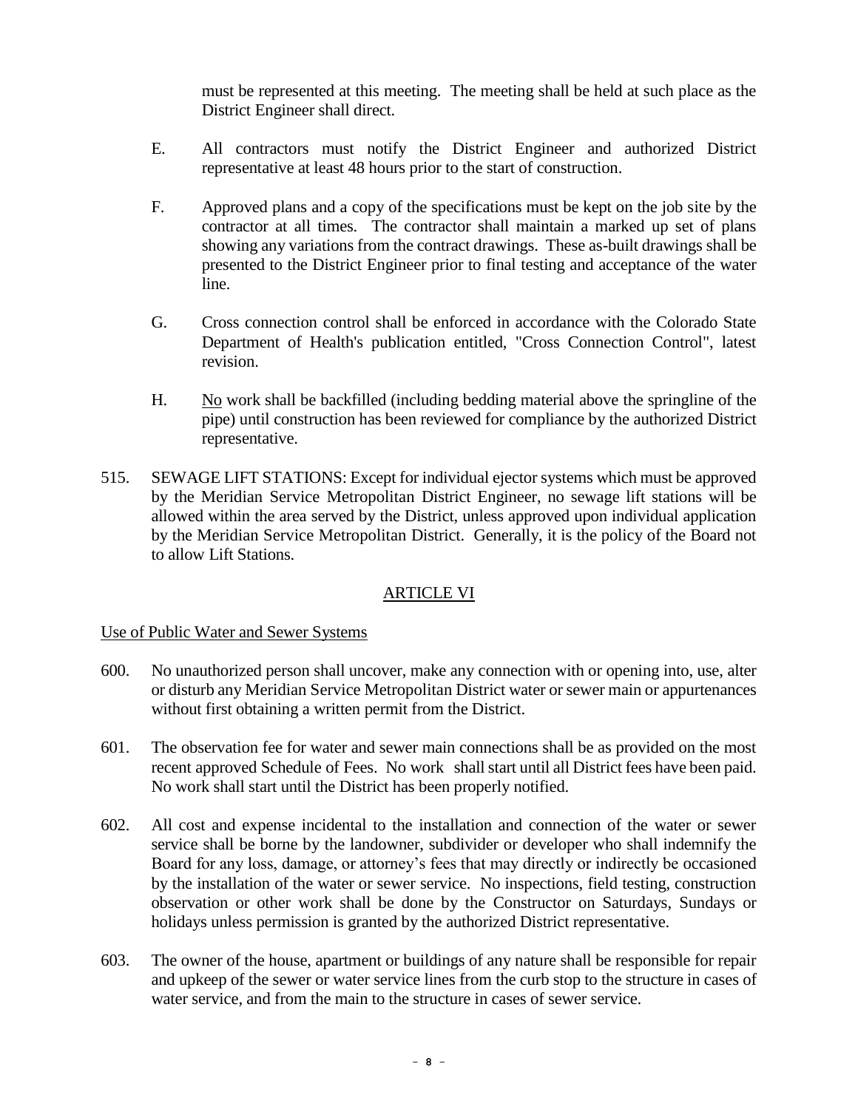must be represented at this meeting. The meeting shall be held at such place as the District Engineer shall direct.

- E. All contractors must notify the District Engineer and authorized District representative at least 48 hours prior to the start of construction.
- F. Approved plans and a copy of the specifications must be kept on the job site by the contractor at all times. The contractor shall maintain a marked up set of plans showing any variations from the contract drawings. These as-built drawings shall be presented to the District Engineer prior to final testing and acceptance of the water line.
- G. Cross connection control shall be enforced in accordance with the Colorado State Department of Health's publication entitled, "Cross Connection Control", latest revision.
- H. No work shall be backfilled (including bedding material above the springline of the pipe) until construction has been reviewed for compliance by the authorized District representative.
- 515. SEWAGE LIFT STATIONS: Except for individual ejector systems which must be approved by the Meridian Service Metropolitan District Engineer, no sewage lift stations will be allowed within the area served by the District, unless approved upon individual application by the Meridian Service Metropolitan District. Generally, it is the policy of the Board not to allow Lift Stations.

### ARTICLE VI

### Use of Public Water and Sewer Systems

- 600. No unauthorized person shall uncover, make any connection with or opening into, use, alter or disturb any Meridian Service Metropolitan District water or sewer main or appurtenances without first obtaining a written permit from the District.
- 601. The observation fee for water and sewer main connections shall be as provided on the most recent approved Schedule of Fees. No work shall start until all District fees have been paid. No work shall start until the District has been properly notified.
- 602. All cost and expense incidental to the installation and connection of the water or sewer service shall be borne by the landowner, subdivider or developer who shall indemnify the Board for any loss, damage, or attorney's fees that may directly or indirectly be occasioned by the installation of the water or sewer service. No inspections, field testing, construction observation or other work shall be done by the Constructor on Saturdays, Sundays or holidays unless permission is granted by the authorized District representative.
- 603. The owner of the house, apartment or buildings of any nature shall be responsible for repair and upkeep of the sewer or water service lines from the curb stop to the structure in cases of water service, and from the main to the structure in cases of sewer service.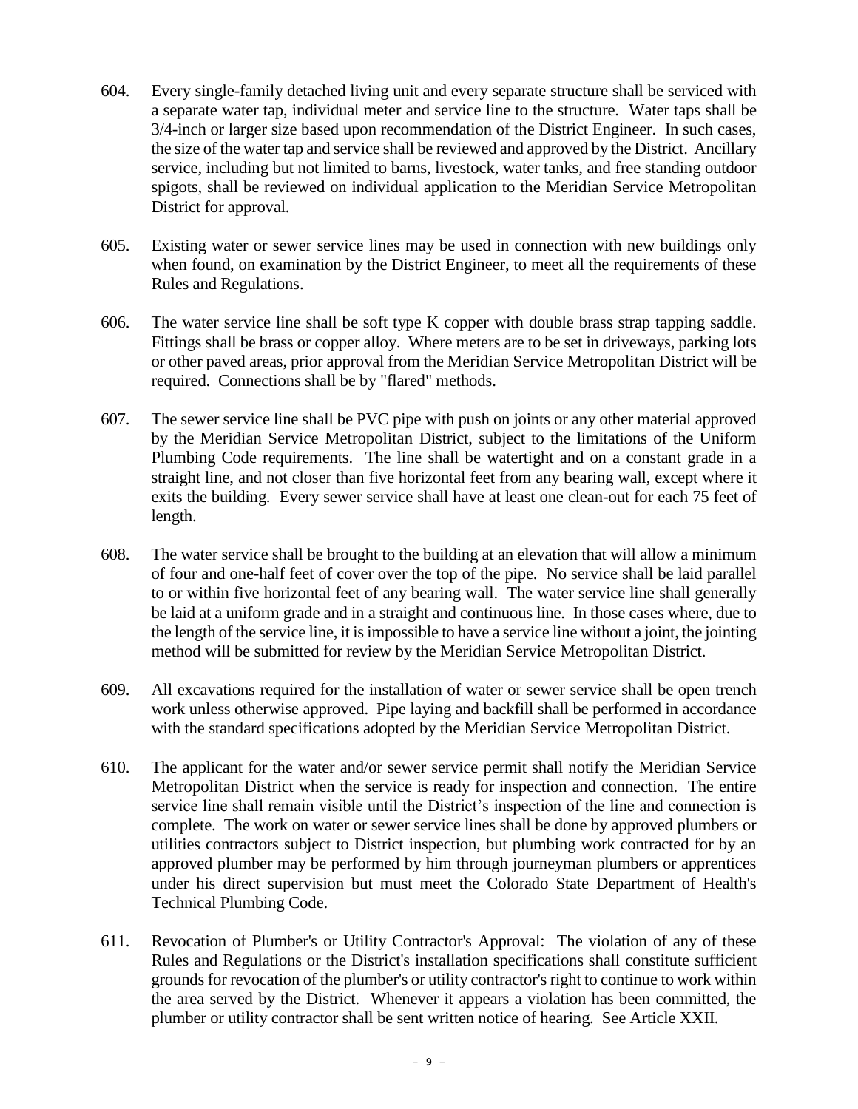- 604. Every single-family detached living unit and every separate structure shall be serviced with a separate water tap, individual meter and service line to the structure. Water taps shall be 3/4-inch or larger size based upon recommendation of the District Engineer. In such cases, the size of the water tap and service shall be reviewed and approved by the District. Ancillary service, including but not limited to barns, livestock, water tanks, and free standing outdoor spigots, shall be reviewed on individual application to the Meridian Service Metropolitan District for approval.
- 605. Existing water or sewer service lines may be used in connection with new buildings only when found, on examination by the District Engineer, to meet all the requirements of these Rules and Regulations.
- 606. The water service line shall be soft type K copper with double brass strap tapping saddle. Fittings shall be brass or copper alloy. Where meters are to be set in driveways, parking lots or other paved areas, prior approval from the Meridian Service Metropolitan District will be required. Connections shall be by "flared" methods.
- 607. The sewer service line shall be PVC pipe with push on joints or any other material approved by the Meridian Service Metropolitan District, subject to the limitations of the Uniform Plumbing Code requirements. The line shall be watertight and on a constant grade in a straight line, and not closer than five horizontal feet from any bearing wall, except where it exits the building. Every sewer service shall have at least one clean-out for each 75 feet of length.
- 608. The water service shall be brought to the building at an elevation that will allow a minimum of four and one-half feet of cover over the top of the pipe. No service shall be laid parallel to or within five horizontal feet of any bearing wall. The water service line shall generally be laid at a uniform grade and in a straight and continuous line. In those cases where, due to the length of the service line, it is impossible to have a service line without a joint, the jointing method will be submitted for review by the Meridian Service Metropolitan District.
- 609. All excavations required for the installation of water or sewer service shall be open trench work unless otherwise approved. Pipe laying and backfill shall be performed in accordance with the standard specifications adopted by the Meridian Service Metropolitan District.
- 610. The applicant for the water and/or sewer service permit shall notify the Meridian Service Metropolitan District when the service is ready for inspection and connection. The entire service line shall remain visible until the District's inspection of the line and connection is complete. The work on water or sewer service lines shall be done by approved plumbers or utilities contractors subject to District inspection, but plumbing work contracted for by an approved plumber may be performed by him through journeyman plumbers or apprentices under his direct supervision but must meet the Colorado State Department of Health's Technical Plumbing Code.
- 611. Revocation of Plumber's or Utility Contractor's Approval: The violation of any of these Rules and Regulations or the District's installation specifications shall constitute sufficient grounds for revocation of the plumber's or utility contractor's right to continue to work within the area served by the District. Whenever it appears a violation has been committed, the plumber or utility contractor shall be sent written notice of hearing. See Article XXII.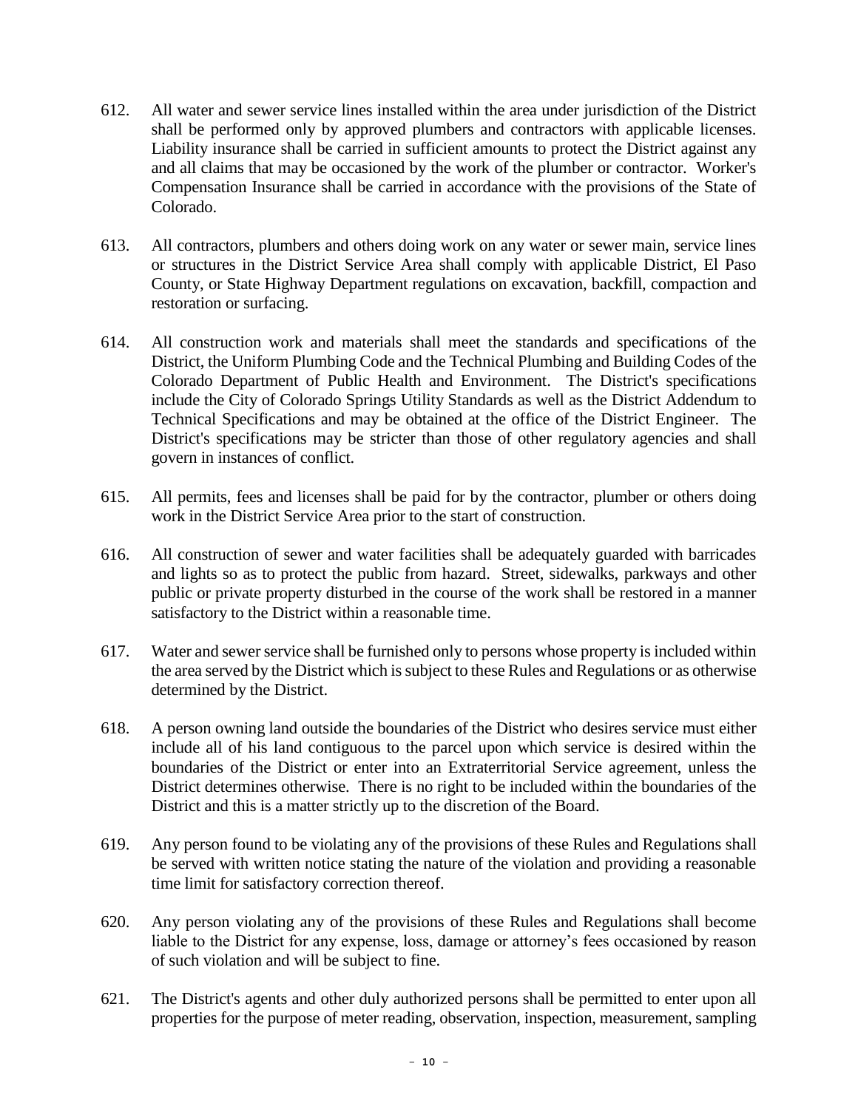- 612. All water and sewer service lines installed within the area under jurisdiction of the District shall be performed only by approved plumbers and contractors with applicable licenses. Liability insurance shall be carried in sufficient amounts to protect the District against any and all claims that may be occasioned by the work of the plumber or contractor. Worker's Compensation Insurance shall be carried in accordance with the provisions of the State of Colorado.
- 613. All contractors, plumbers and others doing work on any water or sewer main, service lines or structures in the District Service Area shall comply with applicable District, El Paso County, or State Highway Department regulations on excavation, backfill, compaction and restoration or surfacing.
- 614. All construction work and materials shall meet the standards and specifications of the District, the Uniform Plumbing Code and the Technical Plumbing and Building Codes of the Colorado Department of Public Health and Environment. The District's specifications include the City of Colorado Springs Utility Standards as well as the District Addendum to Technical Specifications and may be obtained at the office of the District Engineer. The District's specifications may be stricter than those of other regulatory agencies and shall govern in instances of conflict.
- 615. All permits, fees and licenses shall be paid for by the contractor, plumber or others doing work in the District Service Area prior to the start of construction.
- 616. All construction of sewer and water facilities shall be adequately guarded with barricades and lights so as to protect the public from hazard. Street, sidewalks, parkways and other public or private property disturbed in the course of the work shall be restored in a manner satisfactory to the District within a reasonable time.
- 617. Water and sewer service shall be furnished only to persons whose property is included within the area served by the District which is subject to these Rules and Regulations or as otherwise determined by the District.
- 618. A person owning land outside the boundaries of the District who desires service must either include all of his land contiguous to the parcel upon which service is desired within the boundaries of the District or enter into an Extraterritorial Service agreement, unless the District determines otherwise. There is no right to be included within the boundaries of the District and this is a matter strictly up to the discretion of the Board.
- 619. Any person found to be violating any of the provisions of these Rules and Regulations shall be served with written notice stating the nature of the violation and providing a reasonable time limit for satisfactory correction thereof.
- 620. Any person violating any of the provisions of these Rules and Regulations shall become liable to the District for any expense, loss, damage or attorney's fees occasioned by reason of such violation and will be subject to fine.
- 621. The District's agents and other duly authorized persons shall be permitted to enter upon all properties for the purpose of meter reading, observation, inspection, measurement, sampling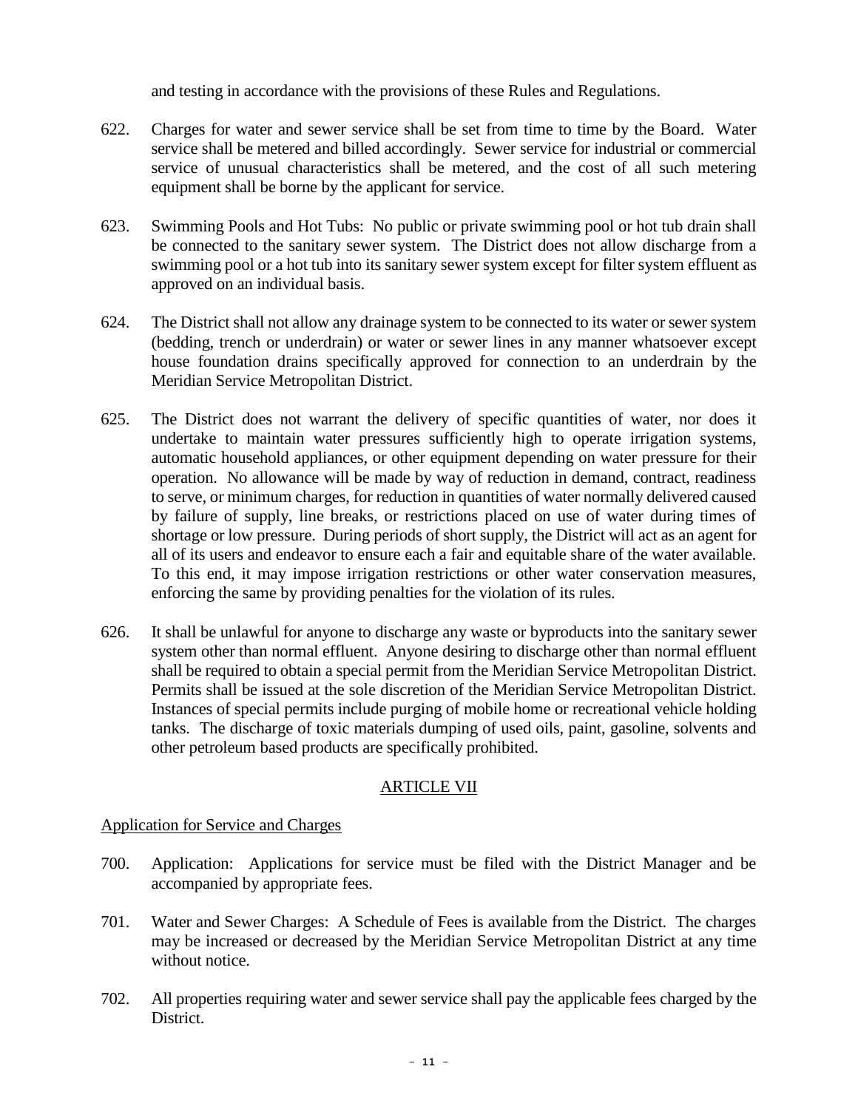and testing in accordance with the provisions of these Rules and Regulations.

- 622. Charges for water and sewer service shall be set from time to time by the Board. Water service shall be metered and billed accordingly. Sewer service for industrial or commercial service of unusual characteristics shall be metered, and the cost of all such metering equipment shall be borne by the applicant for service.
- 623. Swimming Pools and Hot Tubs: No public or private swimming pool or hot tub drain shall be connected to the sanitary sewer system. The District does not allow discharge from a swimming pool or a hot tub into its sanitary sewer system except for filter system effluent as approved on an individual basis.
- 624. The District shall not allow any drainage system to be connected to its water or sewer system (bedding, trench or underdrain) or water or sewer lines in any manner whatsoever except house foundation drains specifically approved for connection to an underdrain by the Meridian Service Metropolitan District.
- 625. The District does not warrant the delivery of specific quantities of water, nor does it undertake to maintain water pressures sufficiently high to operate irrigation systems, automatic household appliances, or other equipment depending on water pressure for their operation. No allowance will be made by way of reduction in demand, contract, readiness to serve, or minimum charges, for reduction in quantities of water normally delivered caused by failure of supply, line breaks, or restrictions placed on use of water during times of shortage or low pressure. During periods of short supply, the District will act as an agent for all of its users and endeavor to ensure each a fair and equitable share of the water available. To this end, it may impose irrigation restrictions or other water conservation measures, enforcing the same by providing penalties for the violation of its rules.
- 626. It shall be unlawful for anyone to discharge any waste or byproducts into the sanitary sewer system other than normal effluent. Anyone desiring to discharge other than normal effluent shall be required to obtain a special permit from the Meridian Service Metropolitan District. Permits shall be issued at the sole discretion of the Meridian Service Metropolitan District. Instances of special permits include purging of mobile home or recreational vehicle holding tanks. The discharge of toxic materials dumping of used oils, paint, gasoline, solvents and other petroleum based products are specifically prohibited.

### ARTICLE VII

Application for Service and Charges

- 700. Application: Applications for service must be filed with the District Manager and be accompanied by appropriate fees.
- 701. Water and Sewer Charges: A Schedule of Fees is available from the District. The charges may be increased or decreased by the Meridian Service Metropolitan District at any time without notice.
- 702. All properties requiring water and sewer service shall pay the applicable fees charged by the District.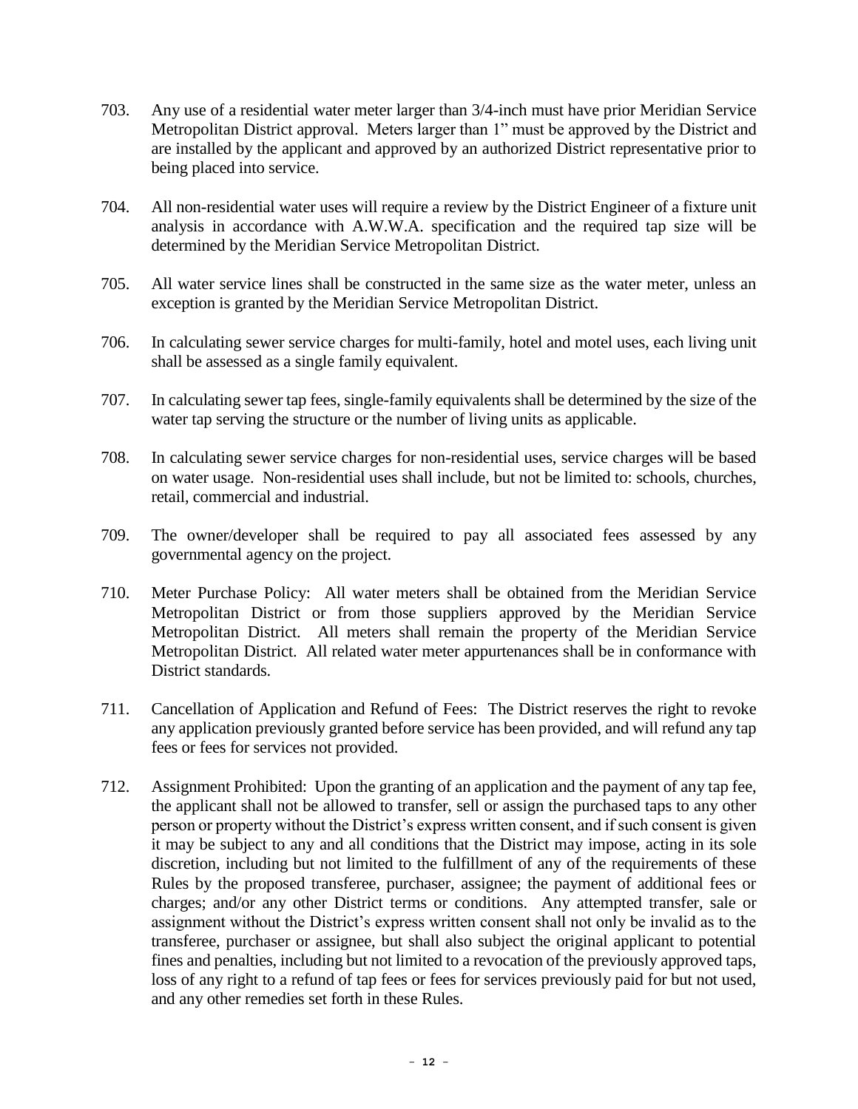- 703. Any use of a residential water meter larger than 3/4-inch must have prior Meridian Service Metropolitan District approval. Meters larger than 1" must be approved by the District and are installed by the applicant and approved by an authorized District representative prior to being placed into service.
- 704. All non-residential water uses will require a review by the District Engineer of a fixture unit analysis in accordance with A.W.W.A. specification and the required tap size will be determined by the Meridian Service Metropolitan District.
- 705. All water service lines shall be constructed in the same size as the water meter, unless an exception is granted by the Meridian Service Metropolitan District.
- 706. In calculating sewer service charges for multi-family, hotel and motel uses, each living unit shall be assessed as a single family equivalent.
- 707. In calculating sewer tap fees, single-family equivalents shall be determined by the size of the water tap serving the structure or the number of living units as applicable.
- 708. In calculating sewer service charges for non-residential uses, service charges will be based on water usage. Non-residential uses shall include, but not be limited to: schools, churches, retail, commercial and industrial.
- 709. The owner/developer shall be required to pay all associated fees assessed by any governmental agency on the project.
- 710. Meter Purchase Policy: All water meters shall be obtained from the Meridian Service Metropolitan District or from those suppliers approved by the Meridian Service Metropolitan District. All meters shall remain the property of the Meridian Service Metropolitan District. All related water meter appurtenances shall be in conformance with District standards.
- 711. Cancellation of Application and Refund of Fees: The District reserves the right to revoke any application previously granted before service has been provided, and will refund any tap fees or fees for services not provided.
- 712. Assignment Prohibited: Upon the granting of an application and the payment of any tap fee, the applicant shall not be allowed to transfer, sell or assign the purchased taps to any other person or property without the District's express written consent, and if such consent is given it may be subject to any and all conditions that the District may impose, acting in its sole discretion, including but not limited to the fulfillment of any of the requirements of these Rules by the proposed transferee, purchaser, assignee; the payment of additional fees or charges; and/or any other District terms or conditions. Any attempted transfer, sale or assignment without the District's express written consent shall not only be invalid as to the transferee, purchaser or assignee, but shall also subject the original applicant to potential fines and penalties, including but not limited to a revocation of the previously approved taps, loss of any right to a refund of tap fees or fees for services previously paid for but not used, and any other remedies set forth in these Rules.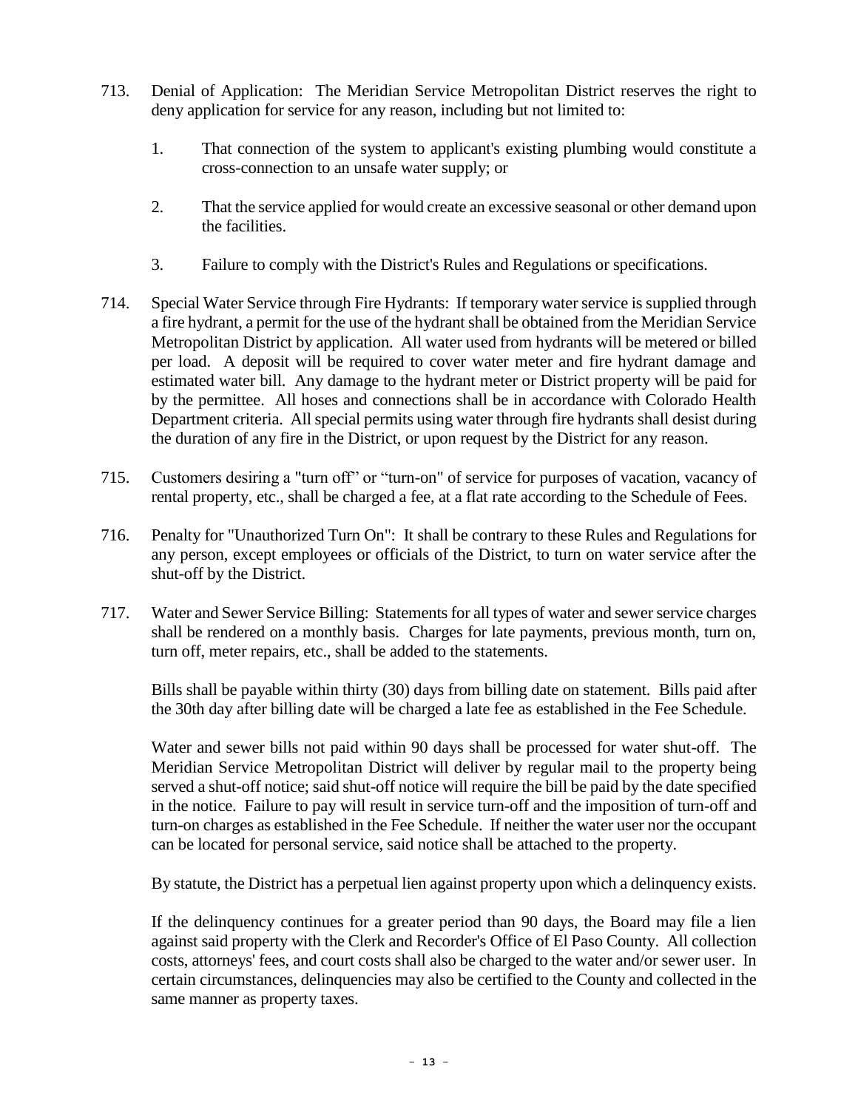- 713. Denial of Application: The Meridian Service Metropolitan District reserves the right to deny application for service for any reason, including but not limited to:
	- 1. That connection of the system to applicant's existing plumbing would constitute a cross-connection to an unsafe water supply; or
	- 2. That the service applied for would create an excessive seasonal or other demand upon the facilities.
	- 3. Failure to comply with the District's Rules and Regulations or specifications.
- 714. Special Water Service through Fire Hydrants: If temporary water service is supplied through a fire hydrant, a permit for the use of the hydrant shall be obtained from the Meridian Service Metropolitan District by application. All water used from hydrants will be metered or billed per load. A deposit will be required to cover water meter and fire hydrant damage and estimated water bill. Any damage to the hydrant meter or District property will be paid for by the permittee. All hoses and connections shall be in accordance with Colorado Health Department criteria. All special permits using water through fire hydrants shall desist during the duration of any fire in the District, or upon request by the District for any reason.
- 715. Customers desiring a "turn off" or "turn-on" of service for purposes of vacation, vacancy of rental property, etc., shall be charged a fee, at a flat rate according to the Schedule of Fees.
- 716. Penalty for "Unauthorized Turn On": It shall be contrary to these Rules and Regulations for any person, except employees or officials of the District, to turn on water service after the shut-off by the District.
- 717. Water and Sewer Service Billing: Statements for all types of water and sewer service charges shall be rendered on a monthly basis. Charges for late payments, previous month, turn on, turn off, meter repairs, etc., shall be added to the statements.

Bills shall be payable within thirty (30) days from billing date on statement. Bills paid after the 30th day after billing date will be charged a late fee as established in the Fee Schedule.

Water and sewer bills not paid within 90 days shall be processed for water shut-off. The Meridian Service Metropolitan District will deliver by regular mail to the property being served a shut-off notice; said shut-off notice will require the bill be paid by the date specified in the notice. Failure to pay will result in service turn-off and the imposition of turn-off and turn-on charges as established in the Fee Schedule. If neither the water user nor the occupant can be located for personal service, said notice shall be attached to the property.

By statute, the District has a perpetual lien against property upon which a delinquency exists.

If the delinquency continues for a greater period than 90 days, the Board may file a lien against said property with the Clerk and Recorder's Office of El Paso County. All collection costs, attorneys' fees, and court costs shall also be charged to the water and/or sewer user. In certain circumstances, delinquencies may also be certified to the County and collected in the same manner as property taxes.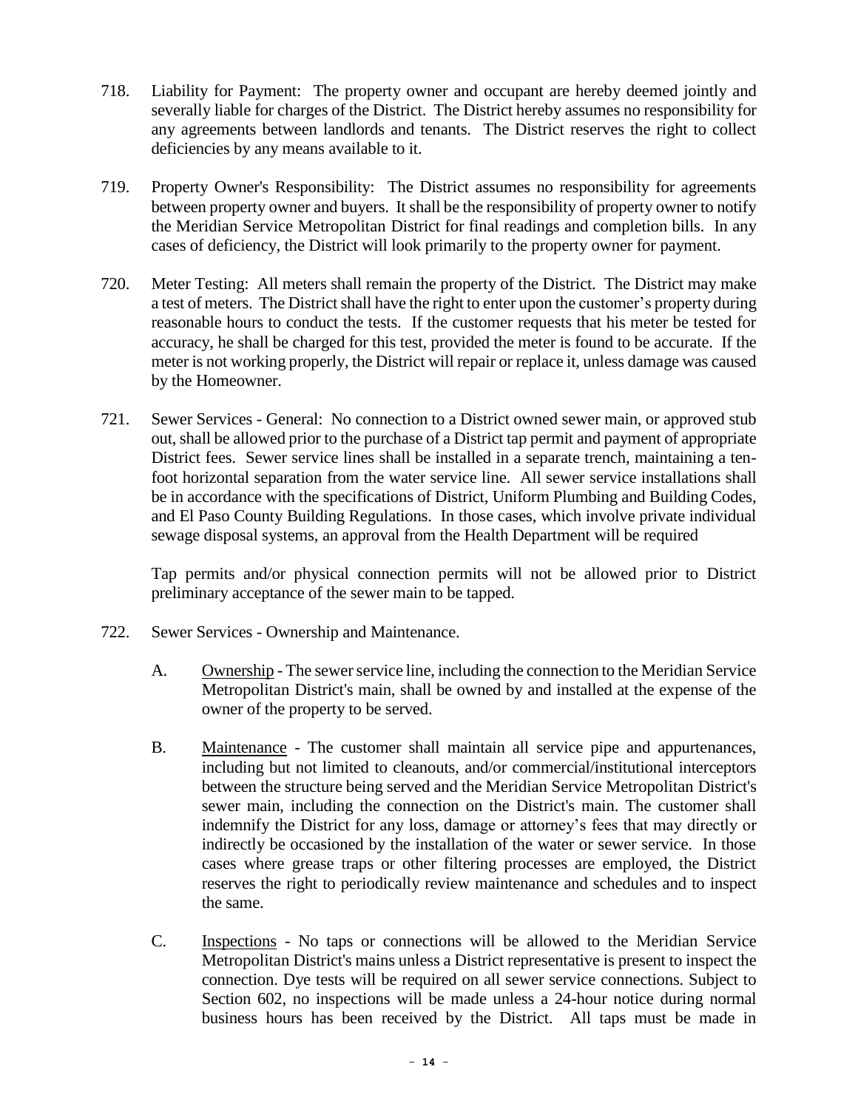- 718. Liability for Payment: The property owner and occupant are hereby deemed jointly and severally liable for charges of the District. The District hereby assumes no responsibility for any agreements between landlords and tenants. The District reserves the right to collect deficiencies by any means available to it.
- 719. Property Owner's Responsibility: The District assumes no responsibility for agreements between property owner and buyers. It shall be the responsibility of property owner to notify the Meridian Service Metropolitan District for final readings and completion bills. In any cases of deficiency, the District will look primarily to the property owner for payment.
- 720. Meter Testing: All meters shall remain the property of the District. The District may make a test of meters. The District shall have the right to enter upon the customer's property during reasonable hours to conduct the tests. If the customer requests that his meter be tested for accuracy, he shall be charged for this test, provided the meter is found to be accurate. If the meter is not working properly, the District will repair or replace it, unless damage was caused by the Homeowner.
- 721. Sewer Services General: No connection to a District owned sewer main, or approved stub out, shall be allowed prior to the purchase of a District tap permit and payment of appropriate District fees. Sewer service lines shall be installed in a separate trench, maintaining a tenfoot horizontal separation from the water service line. All sewer service installations shall be in accordance with the specifications of District, Uniform Plumbing and Building Codes, and El Paso County Building Regulations. In those cases, which involve private individual sewage disposal systems, an approval from the Health Department will be required

Tap permits and/or physical connection permits will not be allowed prior to District preliminary acceptance of the sewer main to be tapped.

- 722. Sewer Services Ownership and Maintenance.
	- A. Ownership The sewer service line, including the connection to the Meridian Service Metropolitan District's main, shall be owned by and installed at the expense of the owner of the property to be served.
	- B. Maintenance The customer shall maintain all service pipe and appurtenances, including but not limited to cleanouts, and/or commercial/institutional interceptors between the structure being served and the Meridian Service Metropolitan District's sewer main, including the connection on the District's main. The customer shall indemnify the District for any loss, damage or attorney's fees that may directly or indirectly be occasioned by the installation of the water or sewer service. In those cases where grease traps or other filtering processes are employed, the District reserves the right to periodically review maintenance and schedules and to inspect the same.
	- C. Inspections No taps or connections will be allowed to the Meridian Service Metropolitan District's mains unless a District representative is present to inspect the connection. Dye tests will be required on all sewer service connections. Subject to Section 602, no inspections will be made unless a 24-hour notice during normal business hours has been received by the District. All taps must be made in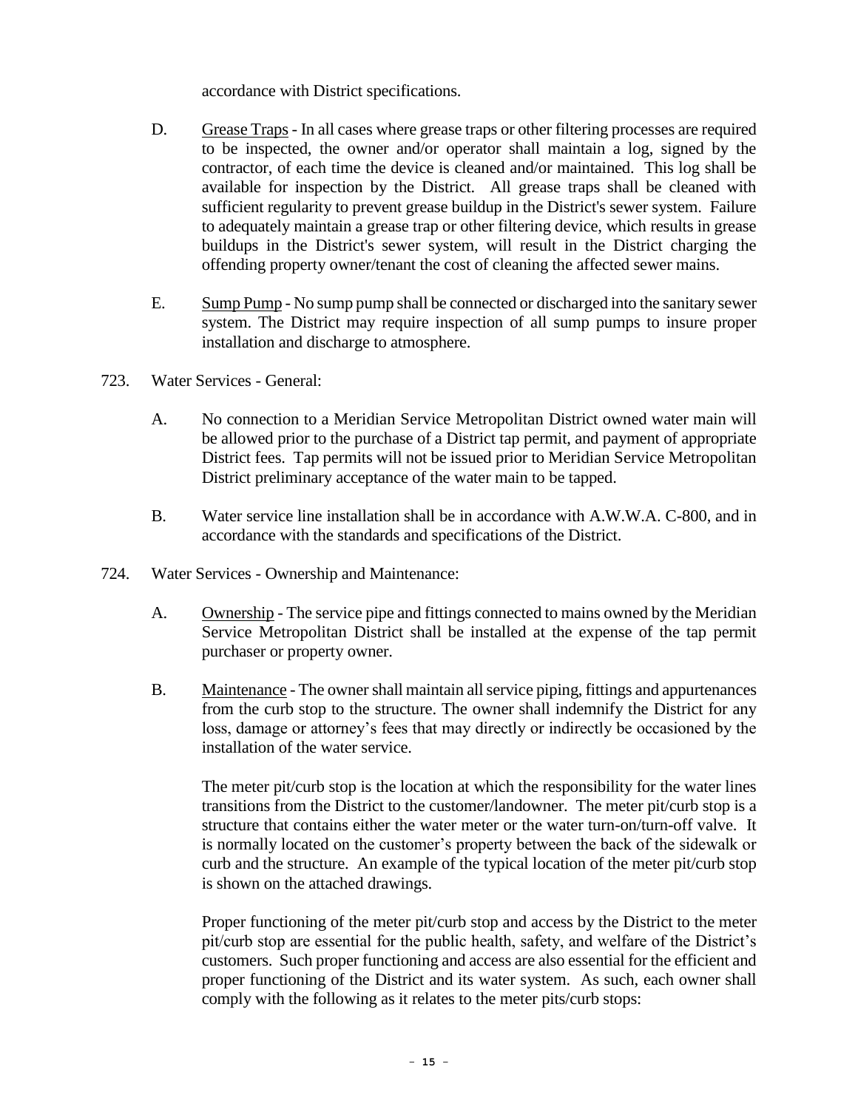accordance with District specifications.

- D. Grease Traps In all cases where grease traps or other filtering processes are required to be inspected, the owner and/or operator shall maintain a log, signed by the contractor, of each time the device is cleaned and/or maintained. This log shall be available for inspection by the District. All grease traps shall be cleaned with sufficient regularity to prevent grease buildup in the District's sewer system. Failure to adequately maintain a grease trap or other filtering device, which results in grease buildups in the District's sewer system, will result in the District charging the offending property owner/tenant the cost of cleaning the affected sewer mains.
- E. Sump Pump No sump pump shall be connected or discharged into the sanitary sewer system. The District may require inspection of all sump pumps to insure proper installation and discharge to atmosphere.
- 723. Water Services General:
	- A. No connection to a Meridian Service Metropolitan District owned water main will be allowed prior to the purchase of a District tap permit, and payment of appropriate District fees. Tap permits will not be issued prior to Meridian Service Metropolitan District preliminary acceptance of the water main to be tapped.
	- B. Water service line installation shall be in accordance with A.W.W.A. C-800, and in accordance with the standards and specifications of the District.
- 724. Water Services Ownership and Maintenance:
	- A. Ownership The service pipe and fittings connected to mains owned by the Meridian Service Metropolitan District shall be installed at the expense of the tap permit purchaser or property owner.
	- B. Maintenance The owner shall maintain all service piping, fittings and appurtenances from the curb stop to the structure. The owner shall indemnify the District for any loss, damage or attorney's fees that may directly or indirectly be occasioned by the installation of the water service.

The meter pit/curb stop is the location at which the responsibility for the water lines transitions from the District to the customer/landowner. The meter pit/curb stop is a structure that contains either the water meter or the water turn-on/turn-off valve. It is normally located on the customer's property between the back of the sidewalk or curb and the structure. An example of the typical location of the meter pit/curb stop is shown on the attached drawings.

Proper functioning of the meter pit/curb stop and access by the District to the meter pit/curb stop are essential for the public health, safety, and welfare of the District's customers. Such proper functioning and access are also essential for the efficient and proper functioning of the District and its water system. As such, each owner shall comply with the following as it relates to the meter pits/curb stops: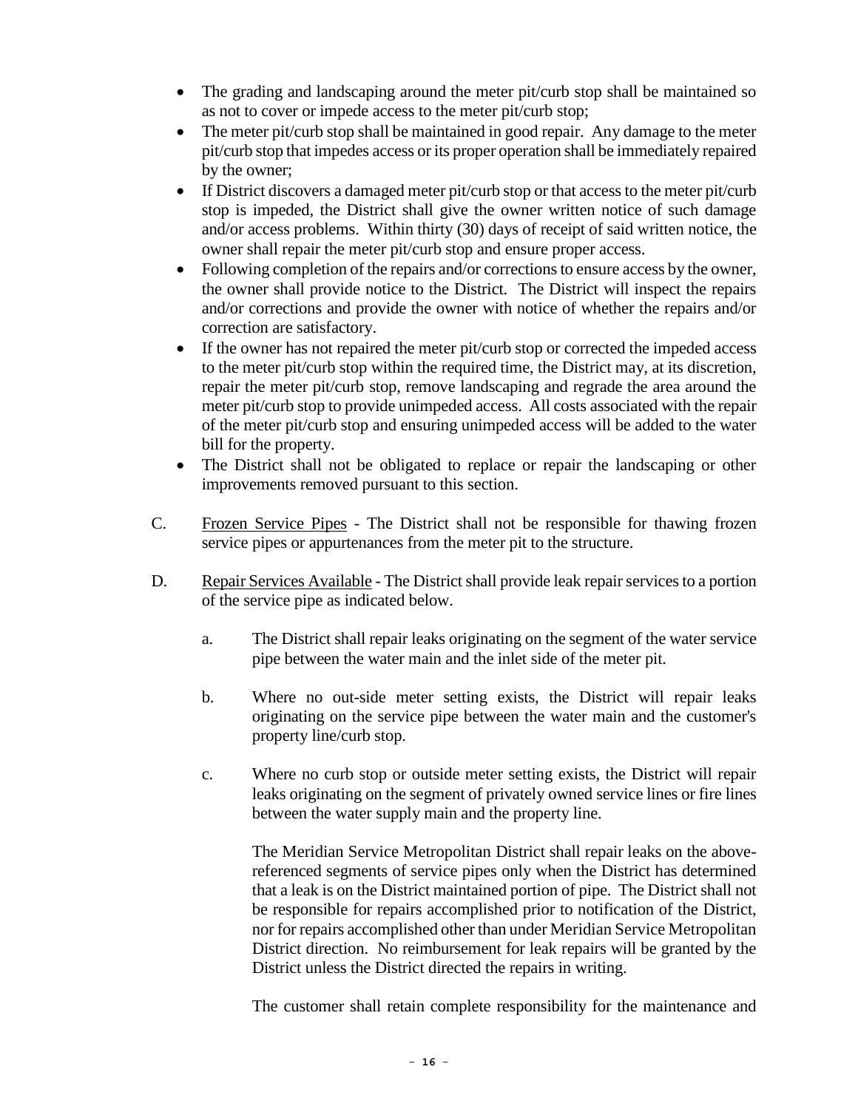- The grading and landscaping around the meter pit/curb stop shall be maintained so as not to cover or impede access to the meter pit/curb stop;
- The meter pit/curb stop shall be maintained in good repair. Any damage to the meter pit/curb stop that impedes access or its proper operation shall be immediately repaired by the owner;
- If District discovers a damaged meter pit/curb stop or that access to the meter pit/curb stop is impeded, the District shall give the owner written notice of such damage and/or access problems. Within thirty (30) days of receipt of said written notice, the owner shall repair the meter pit/curb stop and ensure proper access.
- Following completion of the repairs and/or corrections to ensure access by the owner, the owner shall provide notice to the District. The District will inspect the repairs and/or corrections and provide the owner with notice of whether the repairs and/or correction are satisfactory.
- If the owner has not repaired the meter pit/curb stop or corrected the impeded access to the meter pit/curb stop within the required time, the District may, at its discretion, repair the meter pit/curb stop, remove landscaping and regrade the area around the meter pit/curb stop to provide unimpeded access. All costs associated with the repair of the meter pit/curb stop and ensuring unimpeded access will be added to the water bill for the property.
- The District shall not be obligated to replace or repair the landscaping or other improvements removed pursuant to this section.
- C. Frozen Service Pipes The District shall not be responsible for thawing frozen service pipes or appurtenances from the meter pit to the structure.
- D. Repair Services Available The District shall provide leak repair services to a portion of the service pipe as indicated below.
	- a. The District shall repair leaks originating on the segment of the water service pipe between the water main and the inlet side of the meter pit.
	- b. Where no out-side meter setting exists, the District will repair leaks originating on the service pipe between the water main and the customer's property line/curb stop.
	- c. Where no curb stop or outside meter setting exists, the District will repair leaks originating on the segment of privately owned service lines or fire lines between the water supply main and the property line.

The Meridian Service Metropolitan District shall repair leaks on the abovereferenced segments of service pipes only when the District has determined that a leak is on the District maintained portion of pipe. The District shall not be responsible for repairs accomplished prior to notification of the District, nor for repairs accomplished other than under Meridian Service Metropolitan District direction. No reimbursement for leak repairs will be granted by the District unless the District directed the repairs in writing.

The customer shall retain complete responsibility for the maintenance and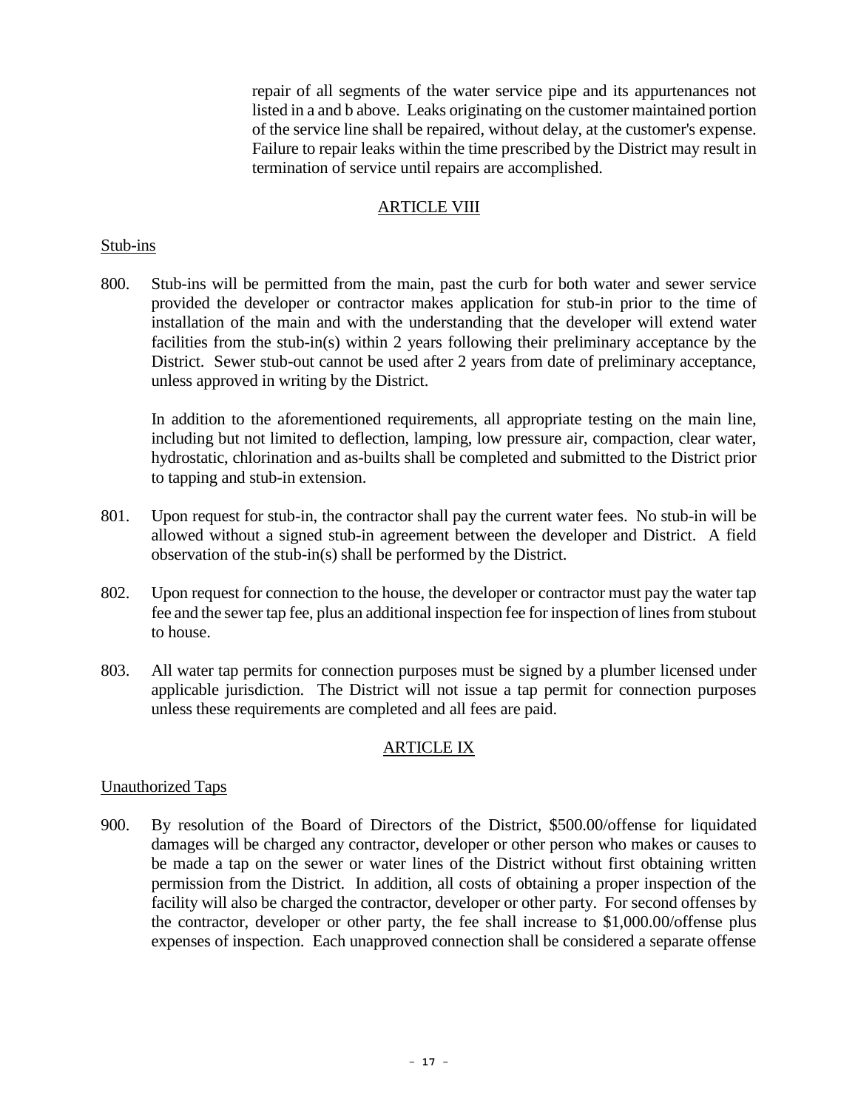repair of all segments of the water service pipe and its appurtenances not listed in a and b above. Leaks originating on the customer maintained portion of the service line shall be repaired, without delay, at the customer's expense. Failure to repair leaks within the time prescribed by the District may result in termination of service until repairs are accomplished.

### ARTICLE VIII

#### Stub-ins

800. Stub-ins will be permitted from the main, past the curb for both water and sewer service provided the developer or contractor makes application for stub-in prior to the time of installation of the main and with the understanding that the developer will extend water facilities from the stub-in(s) within 2 years following their preliminary acceptance by the District. Sewer stub-out cannot be used after 2 years from date of preliminary acceptance, unless approved in writing by the District.

In addition to the aforementioned requirements, all appropriate testing on the main line, including but not limited to deflection, lamping, low pressure air, compaction, clear water, hydrostatic, chlorination and as-builts shall be completed and submitted to the District prior to tapping and stub-in extension.

- 801. Upon request for stub-in, the contractor shall pay the current water fees. No stub-in will be allowed without a signed stub-in agreement between the developer and District. A field observation of the stub-in(s) shall be performed by the District.
- 802. Upon request for connection to the house, the developer or contractor must pay the water tap fee and the sewer tap fee, plus an additional inspection fee for inspection of lines from stubout to house.
- 803. All water tap permits for connection purposes must be signed by a plumber licensed under applicable jurisdiction. The District will not issue a tap permit for connection purposes unless these requirements are completed and all fees are paid.

### ARTICLE IX

### Unauthorized Taps

900. By resolution of the Board of Directors of the District, \$500.00/offense for liquidated damages will be charged any contractor, developer or other person who makes or causes to be made a tap on the sewer or water lines of the District without first obtaining written permission from the District. In addition, all costs of obtaining a proper inspection of the facility will also be charged the contractor, developer or other party. For second offenses by the contractor, developer or other party, the fee shall increase to \$1,000.00/offense plus expenses of inspection. Each unapproved connection shall be considered a separate offense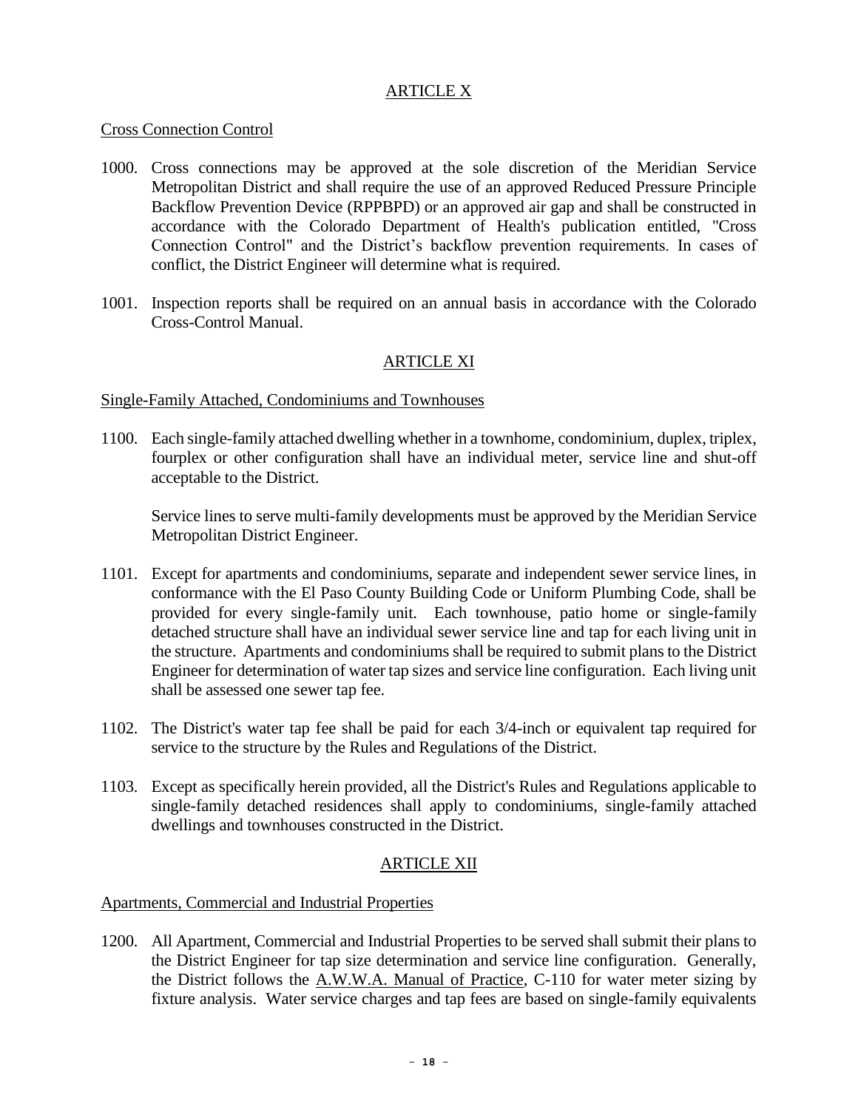#### ARTICLE X

### Cross Connection Control

- 1000. Cross connections may be approved at the sole discretion of the Meridian Service Metropolitan District and shall require the use of an approved Reduced Pressure Principle Backflow Prevention Device (RPPBPD) or an approved air gap and shall be constructed in accordance with the Colorado Department of Health's publication entitled, "Cross Connection Control" and the District's backflow prevention requirements. In cases of conflict, the District Engineer will determine what is required.
- 1001. Inspection reports shall be required on an annual basis in accordance with the Colorado Cross-Control Manual.

### ARTICLE XI

### Single-Family Attached, Condominiums and Townhouses

1100. Each single-family attached dwelling whether in a townhome, condominium, duplex, triplex, fourplex or other configuration shall have an individual meter, service line and shut-off acceptable to the District.

Service lines to serve multi-family developments must be approved by the Meridian Service Metropolitan District Engineer.

- 1101. Except for apartments and condominiums, separate and independent sewer service lines, in conformance with the El Paso County Building Code or Uniform Plumbing Code, shall be provided for every single-family unit. Each townhouse, patio home or single-family detached structure shall have an individual sewer service line and tap for each living unit in the structure. Apartments and condominiums shall be required to submit plans to the District Engineer for determination of water tap sizes and service line configuration. Each living unit shall be assessed one sewer tap fee.
- 1102. The District's water tap fee shall be paid for each 3/4-inch or equivalent tap required for service to the structure by the Rules and Regulations of the District.
- 1103. Except as specifically herein provided, all the District's Rules and Regulations applicable to single-family detached residences shall apply to condominiums, single-family attached dwellings and townhouses constructed in the District.

### ARTICLE XII

### Apartments, Commercial and Industrial Properties

1200. All Apartment, Commercial and Industrial Properties to be served shall submit their plans to the District Engineer for tap size determination and service line configuration. Generally, the District follows the A.W.W.A. Manual of Practice, C-110 for water meter sizing by fixture analysis. Water service charges and tap fees are based on single-family equivalents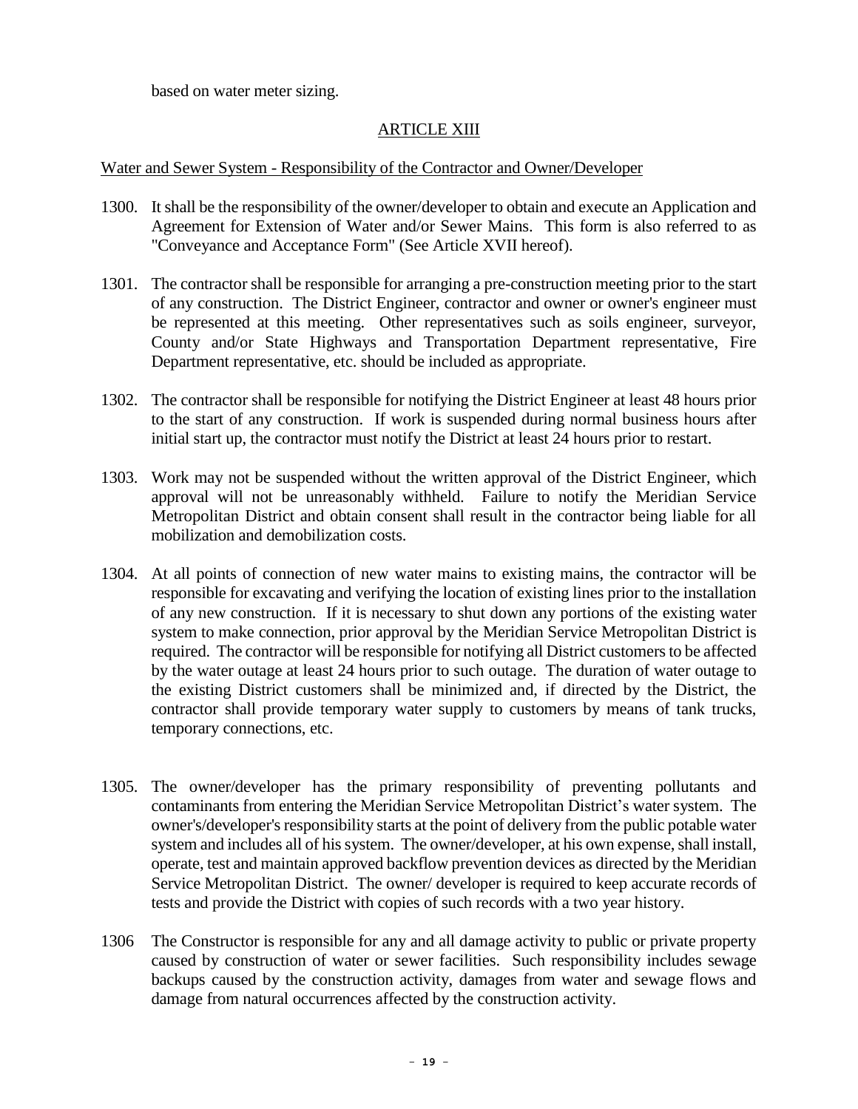based on water meter sizing.

### ARTICLE XIII

#### Water and Sewer System - Responsibility of the Contractor and Owner/Developer

- 1300. It shall be the responsibility of the owner/developer to obtain and execute an Application and Agreement for Extension of Water and/or Sewer Mains. This form is also referred to as "Conveyance and Acceptance Form" (See Article XVII hereof).
- 1301. The contractor shall be responsible for arranging a pre-construction meeting prior to the start of any construction. The District Engineer, contractor and owner or owner's engineer must be represented at this meeting. Other representatives such as soils engineer, surveyor, County and/or State Highways and Transportation Department representative, Fire Department representative, etc. should be included as appropriate.
- 1302. The contractor shall be responsible for notifying the District Engineer at least 48 hours prior to the start of any construction. If work is suspended during normal business hours after initial start up, the contractor must notify the District at least 24 hours prior to restart.
- 1303. Work may not be suspended without the written approval of the District Engineer, which approval will not be unreasonably withheld. Failure to notify the Meridian Service Metropolitan District and obtain consent shall result in the contractor being liable for all mobilization and demobilization costs.
- 1304. At all points of connection of new water mains to existing mains, the contractor will be responsible for excavating and verifying the location of existing lines prior to the installation of any new construction. If it is necessary to shut down any portions of the existing water system to make connection, prior approval by the Meridian Service Metropolitan District is required. The contractor will be responsible for notifying all District customers to be affected by the water outage at least 24 hours prior to such outage. The duration of water outage to the existing District customers shall be minimized and, if directed by the District, the contractor shall provide temporary water supply to customers by means of tank trucks, temporary connections, etc.
- 1305. The owner/developer has the primary responsibility of preventing pollutants and contaminants from entering the Meridian Service Metropolitan District's water system. The owner's/developer's responsibility starts at the point of delivery from the public potable water system and includes all of his system. The owner/developer, at his own expense, shall install, operate, test and maintain approved backflow prevention devices as directed by the Meridian Service Metropolitan District. The owner/ developer is required to keep accurate records of tests and provide the District with copies of such records with a two year history.
- 1306 The Constructor is responsible for any and all damage activity to public or private property caused by construction of water or sewer facilities. Such responsibility includes sewage backups caused by the construction activity, damages from water and sewage flows and damage from natural occurrences affected by the construction activity.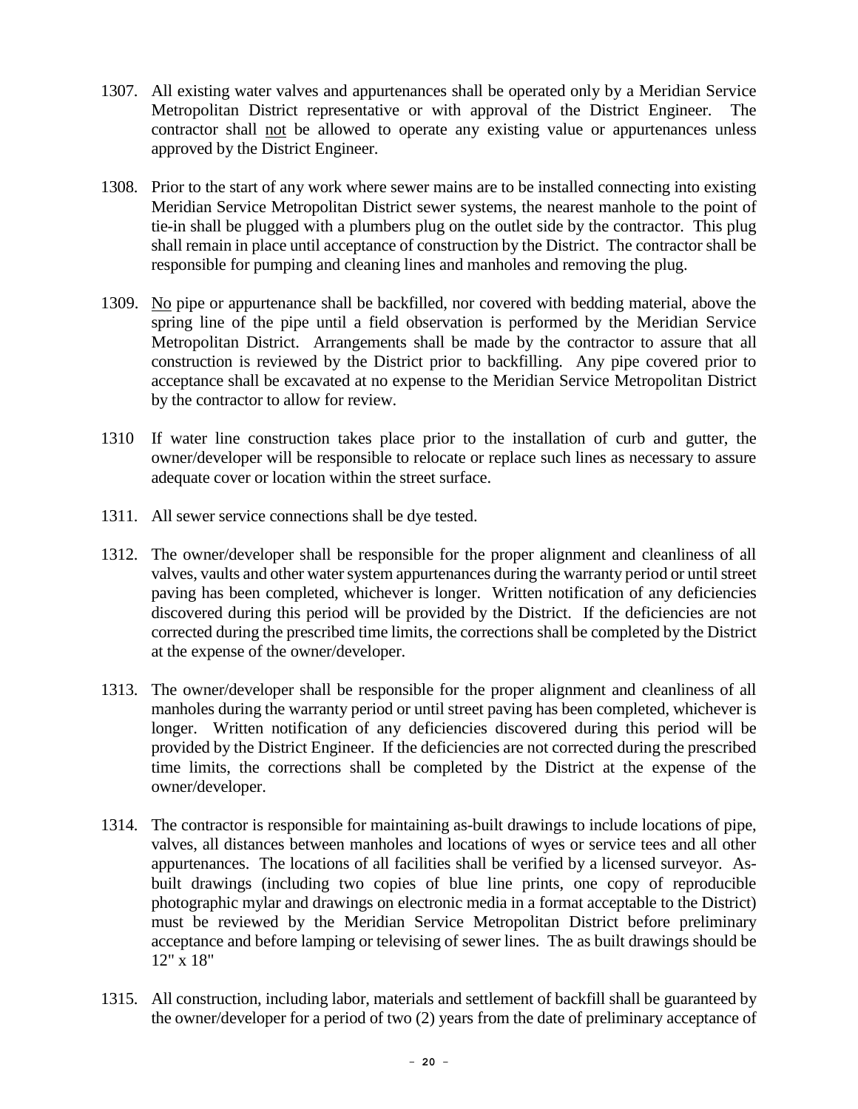- 1307. All existing water valves and appurtenances shall be operated only by a Meridian Service Metropolitan District representative or with approval of the District Engineer. The contractor shall not be allowed to operate any existing value or appurtenances unless approved by the District Engineer.
- 1308. Prior to the start of any work where sewer mains are to be installed connecting into existing Meridian Service Metropolitan District sewer systems, the nearest manhole to the point of tie-in shall be plugged with a plumbers plug on the outlet side by the contractor. This plug shall remain in place until acceptance of construction by the District. The contractor shall be responsible for pumping and cleaning lines and manholes and removing the plug.
- 1309. No pipe or appurtenance shall be backfilled, nor covered with bedding material, above the spring line of the pipe until a field observation is performed by the Meridian Service Metropolitan District. Arrangements shall be made by the contractor to assure that all construction is reviewed by the District prior to backfilling. Any pipe covered prior to acceptance shall be excavated at no expense to the Meridian Service Metropolitan District by the contractor to allow for review.
- 1310 If water line construction takes place prior to the installation of curb and gutter, the owner/developer will be responsible to relocate or replace such lines as necessary to assure adequate cover or location within the street surface.
- 1311. All sewer service connections shall be dye tested.
- 1312. The owner/developer shall be responsible for the proper alignment and cleanliness of all valves, vaults and other water system appurtenances during the warranty period or until street paving has been completed, whichever is longer. Written notification of any deficiencies discovered during this period will be provided by the District. If the deficiencies are not corrected during the prescribed time limits, the corrections shall be completed by the District at the expense of the owner/developer.
- 1313. The owner/developer shall be responsible for the proper alignment and cleanliness of all manholes during the warranty period or until street paving has been completed, whichever is longer. Written notification of any deficiencies discovered during this period will be provided by the District Engineer. If the deficiencies are not corrected during the prescribed time limits, the corrections shall be completed by the District at the expense of the owner/developer.
- 1314. The contractor is responsible for maintaining as-built drawings to include locations of pipe, valves, all distances between manholes and locations of wyes or service tees and all other appurtenances. The locations of all facilities shall be verified by a licensed surveyor. Asbuilt drawings (including two copies of blue line prints, one copy of reproducible photographic mylar and drawings on electronic media in a format acceptable to the District) must be reviewed by the Meridian Service Metropolitan District before preliminary acceptance and before lamping or televising of sewer lines. The as built drawings should be 12" x 18"
- 1315. All construction, including labor, materials and settlement of backfill shall be guaranteed by the owner/developer for a period of two (2) years from the date of preliminary acceptance of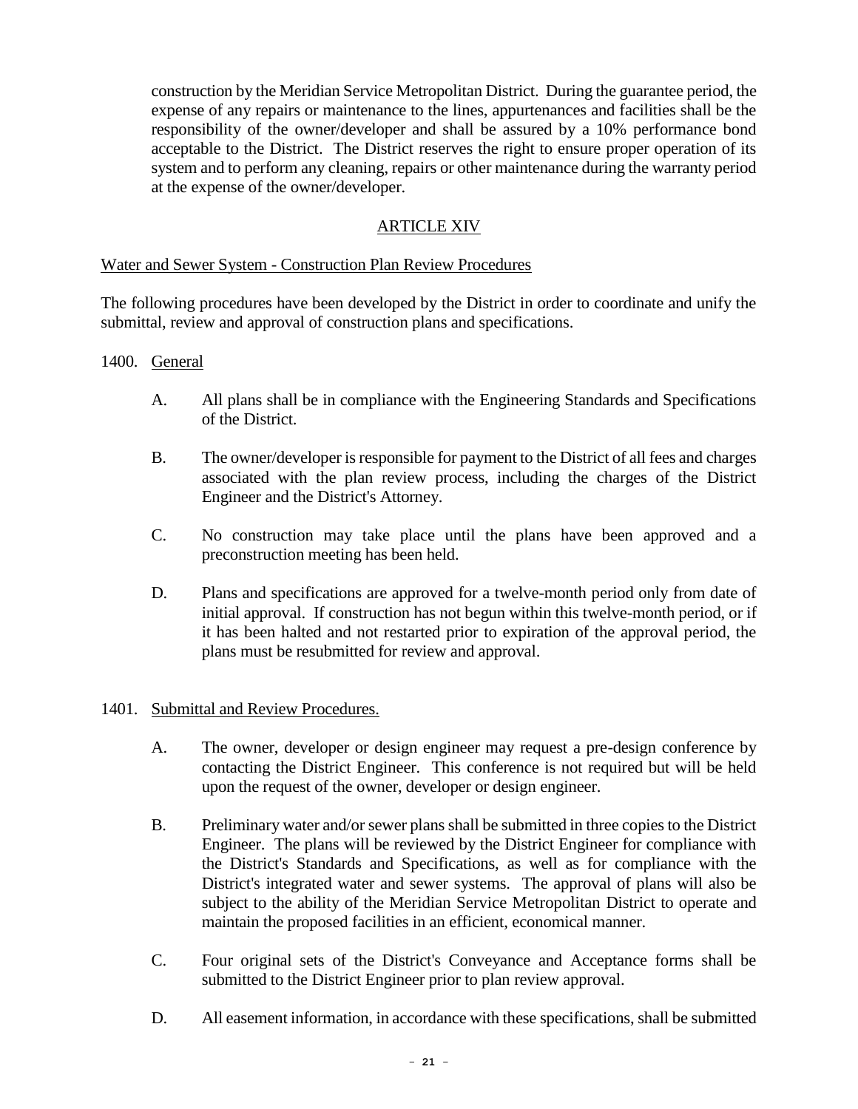construction by the Meridian Service Metropolitan District. During the guarantee period, the expense of any repairs or maintenance to the lines, appurtenances and facilities shall be the responsibility of the owner/developer and shall be assured by a 10% performance bond acceptable to the District. The District reserves the right to ensure proper operation of its system and to perform any cleaning, repairs or other maintenance during the warranty period at the expense of the owner/developer.

### ARTICLE XIV

### Water and Sewer System - Construction Plan Review Procedures

The following procedures have been developed by the District in order to coordinate and unify the submittal, review and approval of construction plans and specifications.

#### 1400. General

- A. All plans shall be in compliance with the Engineering Standards and Specifications of the District.
- B. The owner/developer is responsible for payment to the District of all fees and charges associated with the plan review process, including the charges of the District Engineer and the District's Attorney.
- C. No construction may take place until the plans have been approved and a preconstruction meeting has been held.
- D. Plans and specifications are approved for a twelve-month period only from date of initial approval. If construction has not begun within this twelve-month period, or if it has been halted and not restarted prior to expiration of the approval period, the plans must be resubmitted for review and approval.

### 1401. Submittal and Review Procedures.

- A. The owner, developer or design engineer may request a pre-design conference by contacting the District Engineer. This conference is not required but will be held upon the request of the owner, developer or design engineer.
- B. Preliminary water and/or sewer plans shall be submitted in three copies to the District Engineer. The plans will be reviewed by the District Engineer for compliance with the District's Standards and Specifications, as well as for compliance with the District's integrated water and sewer systems. The approval of plans will also be subject to the ability of the Meridian Service Metropolitan District to operate and maintain the proposed facilities in an efficient, economical manner.
- C. Four original sets of the District's Conveyance and Acceptance forms shall be submitted to the District Engineer prior to plan review approval.
- D. All easement information, in accordance with these specifications, shall be submitted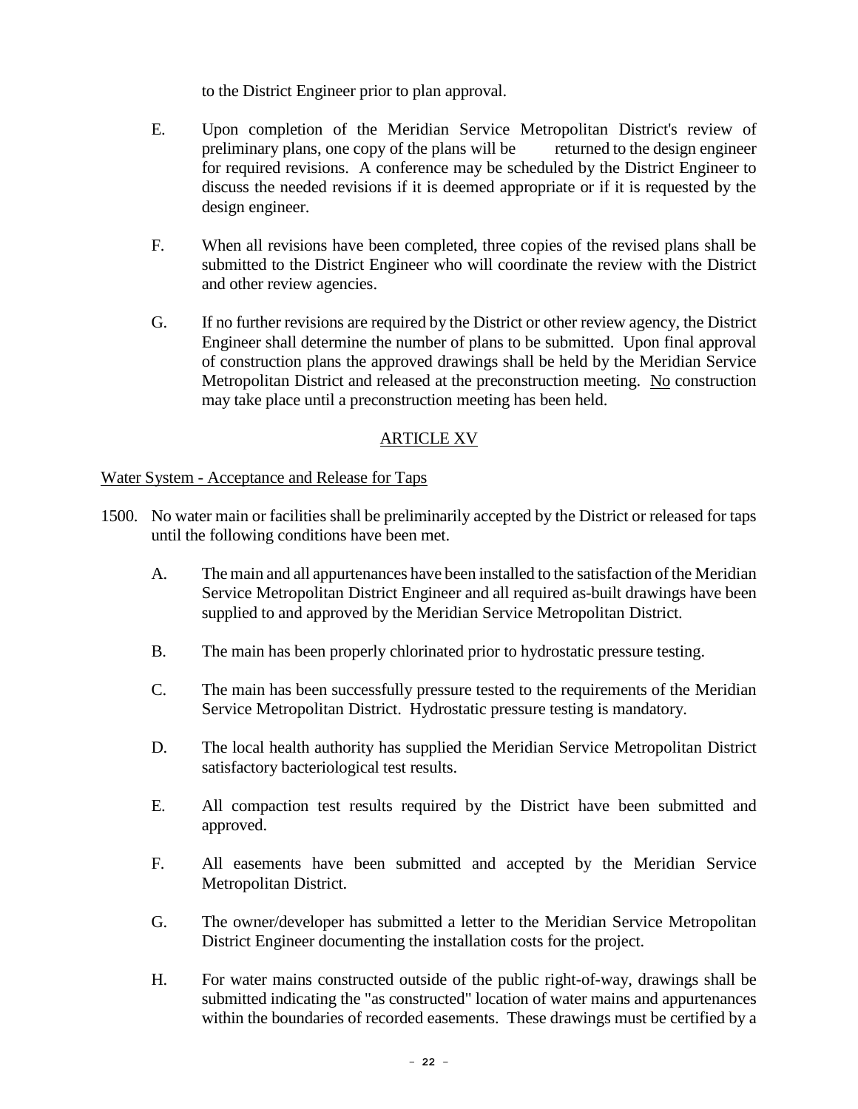to the District Engineer prior to plan approval.

- E. Upon completion of the Meridian Service Metropolitan District's review of preliminary plans, one copy of the plans will be returned to the design engineer for required revisions. A conference may be scheduled by the District Engineer to discuss the needed revisions if it is deemed appropriate or if it is requested by the design engineer.
- F. When all revisions have been completed, three copies of the revised plans shall be submitted to the District Engineer who will coordinate the review with the District and other review agencies.
- G. If no further revisions are required by the District or other review agency, the District Engineer shall determine the number of plans to be submitted. Upon final approval of construction plans the approved drawings shall be held by the Meridian Service Metropolitan District and released at the preconstruction meeting. No construction may take place until a preconstruction meeting has been held.

## ARTICLE XV

Water System - Acceptance and Release for Taps

- 1500. No water main or facilities shall be preliminarily accepted by the District or released for taps until the following conditions have been met.
	- A. The main and all appurtenances have been installed to the satisfaction of the Meridian Service Metropolitan District Engineer and all required as-built drawings have been supplied to and approved by the Meridian Service Metropolitan District.
	- B. The main has been properly chlorinated prior to hydrostatic pressure testing.
	- C. The main has been successfully pressure tested to the requirements of the Meridian Service Metropolitan District. Hydrostatic pressure testing is mandatory.
	- D. The local health authority has supplied the Meridian Service Metropolitan District satisfactory bacteriological test results.
	- E. All compaction test results required by the District have been submitted and approved.
	- F. All easements have been submitted and accepted by the Meridian Service Metropolitan District.
	- G. The owner/developer has submitted a letter to the Meridian Service Metropolitan District Engineer documenting the installation costs for the project.
	- H. For water mains constructed outside of the public right-of-way, drawings shall be submitted indicating the "as constructed" location of water mains and appurtenances within the boundaries of recorded easements. These drawings must be certified by a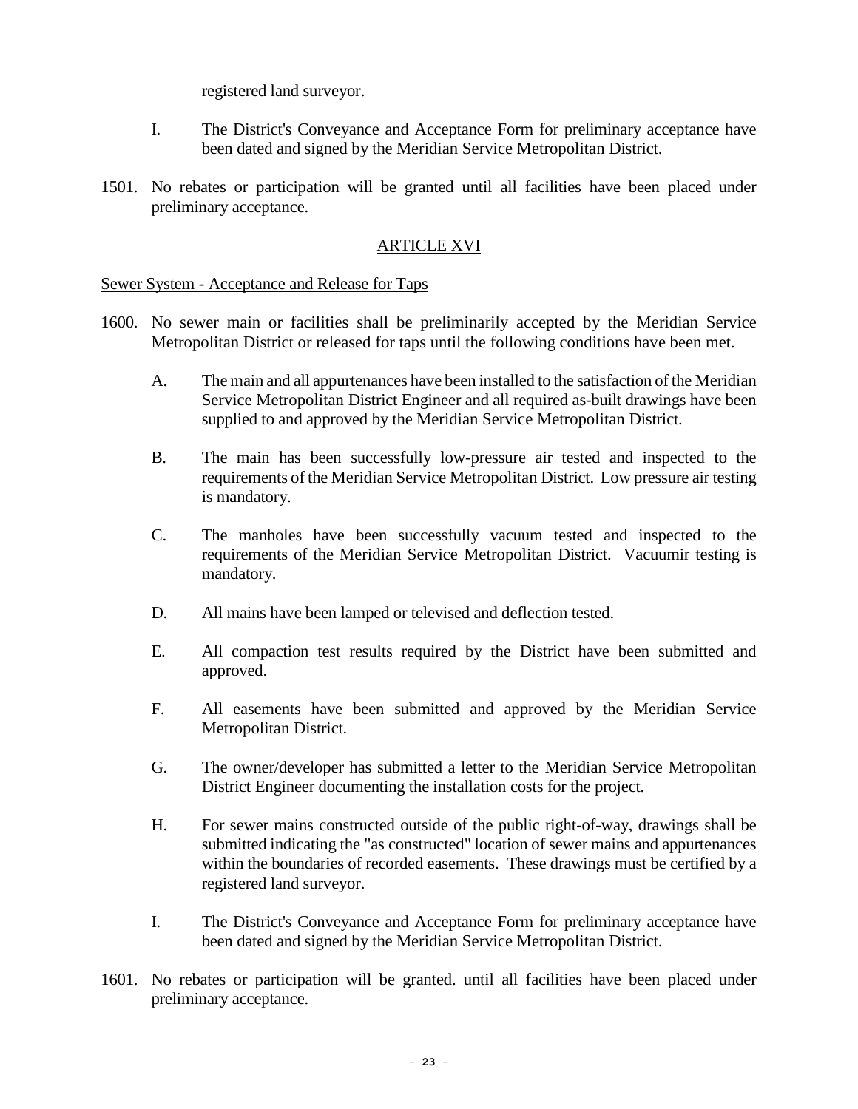registered land surveyor.

- I. The District's Conveyance and Acceptance Form for preliminary acceptance have been dated and signed by the Meridian Service Metropolitan District.
- 1501. No rebates or participation will be granted until all facilities have been placed under preliminary acceptance.

### ARTICLE XVI

#### Sewer System - Acceptance and Release for Taps

- 1600. No sewer main or facilities shall be preliminarily accepted by the Meridian Service Metropolitan District or released for taps until the following conditions have been met.
	- A. The main and all appurtenances have been installed to the satisfaction of the Meridian Service Metropolitan District Engineer and all required as-built drawings have been supplied to and approved by the Meridian Service Metropolitan District.
	- B. The main has been successfully low-pressure air tested and inspected to the requirements of the Meridian Service Metropolitan District. Low pressure air testing is mandatory.
	- C. The manholes have been successfully vacuum tested and inspected to the requirements of the Meridian Service Metropolitan District. Vacuumir testing is mandatory.
	- D. All mains have been lamped or televised and deflection tested.
	- E. All compaction test results required by the District have been submitted and approved.
	- F. All easements have been submitted and approved by the Meridian Service Metropolitan District.
	- G. The owner/developer has submitted a letter to the Meridian Service Metropolitan District Engineer documenting the installation costs for the project.
	- H. For sewer mains constructed outside of the public right-of-way, drawings shall be submitted indicating the "as constructed" location of sewer mains and appurtenances within the boundaries of recorded easements. These drawings must be certified by a registered land surveyor.
	- I. The District's Conveyance and Acceptance Form for preliminary acceptance have been dated and signed by the Meridian Service Metropolitan District.
- 1601. No rebates or participation will be granted. until all facilities have been placed under preliminary acceptance.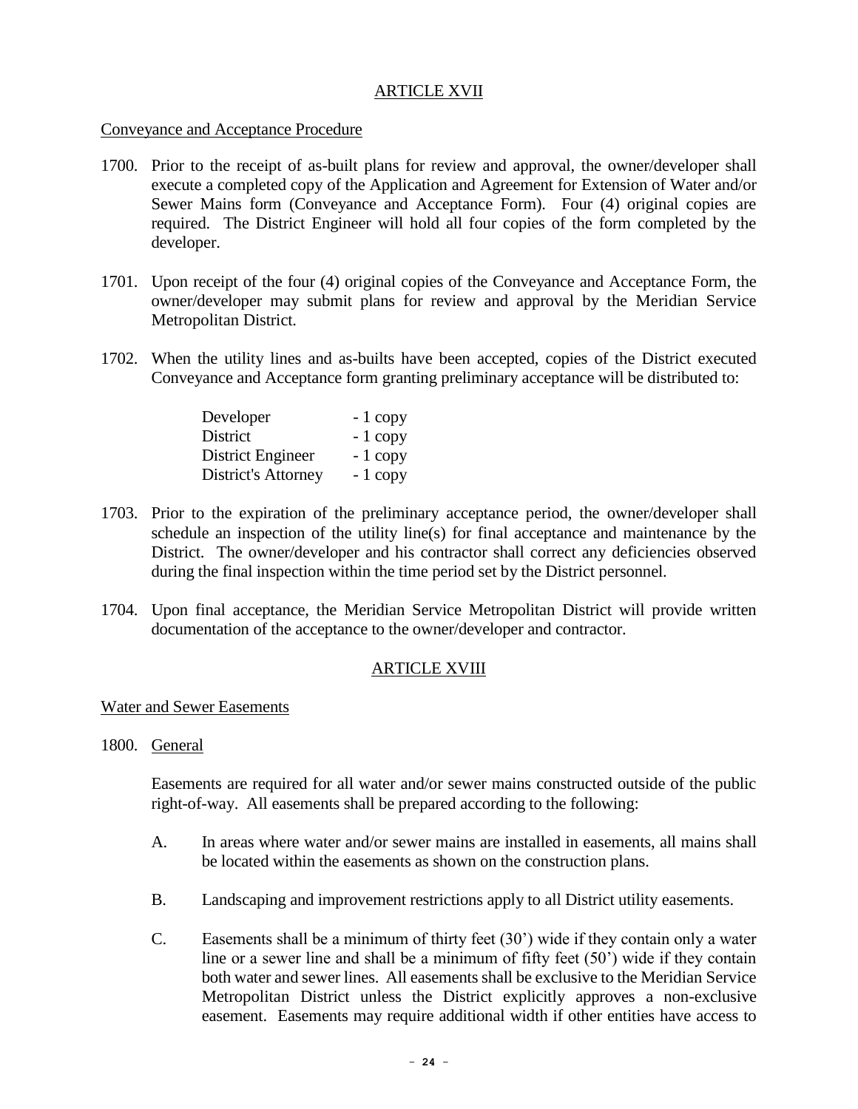#### ARTICLE XVII

#### Conveyance and Acceptance Procedure

- 1700. Prior to the receipt of as-built plans for review and approval, the owner/developer shall execute a completed copy of the Application and Agreement for Extension of Water and/or Sewer Mains form (Conveyance and Acceptance Form). Four (4) original copies are required. The District Engineer will hold all four copies of the form completed by the developer.
- 1701. Upon receipt of the four (4) original copies of the Conveyance and Acceptance Form, the owner/developer may submit plans for review and approval by the Meridian Service Metropolitan District.
- 1702. When the utility lines and as-builts have been accepted, copies of the District executed Conveyance and Acceptance form granting preliminary acceptance will be distributed to:

| Developer                  | $-1$ copy |
|----------------------------|-----------|
| District                   | $-1$ copy |
| District Engineer          | $-1$ copy |
| <b>District's Attorney</b> | $-1$ copy |

- 1703. Prior to the expiration of the preliminary acceptance period, the owner/developer shall schedule an inspection of the utility line(s) for final acceptance and maintenance by the District. The owner/developer and his contractor shall correct any deficiencies observed during the final inspection within the time period set by the District personnel.
- 1704. Upon final acceptance, the Meridian Service Metropolitan District will provide written documentation of the acceptance to the owner/developer and contractor.

### ARTICLE XVIII

### Water and Sewer Easements

1800. General

Easements are required for all water and/or sewer mains constructed outside of the public right-of-way. All easements shall be prepared according to the following:

- A. In areas where water and/or sewer mains are installed in easements, all mains shall be located within the easements as shown on the construction plans.
- B. Landscaping and improvement restrictions apply to all District utility easements.
- C. Easements shall be a minimum of thirty feet (30') wide if they contain only a water line or a sewer line and shall be a minimum of fifty feet (50') wide if they contain both water and sewer lines. All easements shall be exclusive to the Meridian Service Metropolitan District unless the District explicitly approves a non-exclusive easement. Easements may require additional width if other entities have access to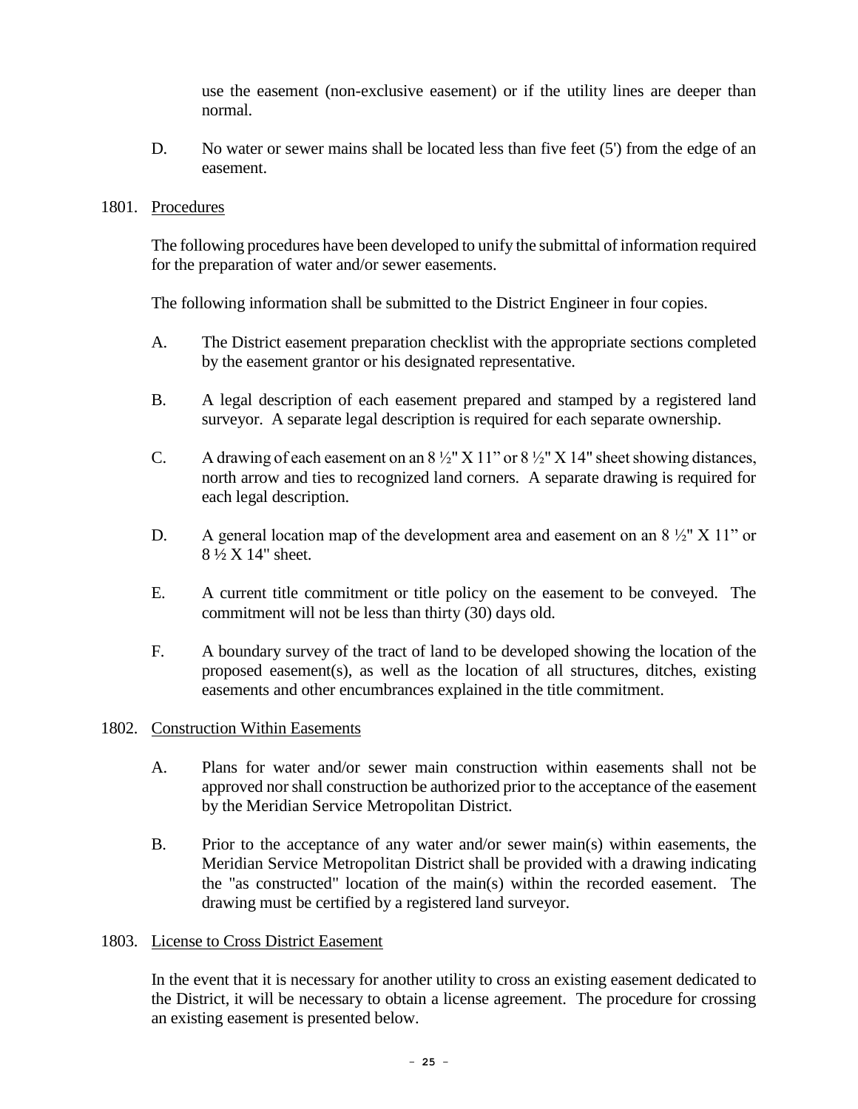use the easement (non-exclusive easement) or if the utility lines are deeper than normal.

D. No water or sewer mains shall be located less than five feet (5') from the edge of an easement.

#### 1801. Procedures

The following procedures have been developed to unify the submittal of information required for the preparation of water and/or sewer easements.

The following information shall be submitted to the District Engineer in four copies.

- A. The District easement preparation checklist with the appropriate sections completed by the easement grantor or his designated representative.
- B. A legal description of each easement prepared and stamped by a registered land surveyor. A separate legal description is required for each separate ownership.
- C. A drawing of each easement on an  $8\frac{1}{2}$ " X 11" or  $8\frac{1}{2}$ " X 14" sheet showing distances, north arrow and ties to recognized land corners. A separate drawing is required for each legal description.
- D. A general location map of the development area and easement on an  $8\frac{1}{2}$ " X 11" or 8 ½ X 14" sheet.
- E. A current title commitment or title policy on the easement to be conveyed. The commitment will not be less than thirty (30) days old.
- F. A boundary survey of the tract of land to be developed showing the location of the proposed easement(s), as well as the location of all structures, ditches, existing easements and other encumbrances explained in the title commitment.

### 1802. Construction Within Easements

- A. Plans for water and/or sewer main construction within easements shall not be approved nor shall construction be authorized prior to the acceptance of the easement by the Meridian Service Metropolitan District.
- B. Prior to the acceptance of any water and/or sewer main(s) within easements, the Meridian Service Metropolitan District shall be provided with a drawing indicating the "as constructed" location of the main(s) within the recorded easement. The drawing must be certified by a registered land surveyor.

### 1803. License to Cross District Easement

In the event that it is necessary for another utility to cross an existing easement dedicated to the District, it will be necessary to obtain a license agreement. The procedure for crossing an existing easement is presented below.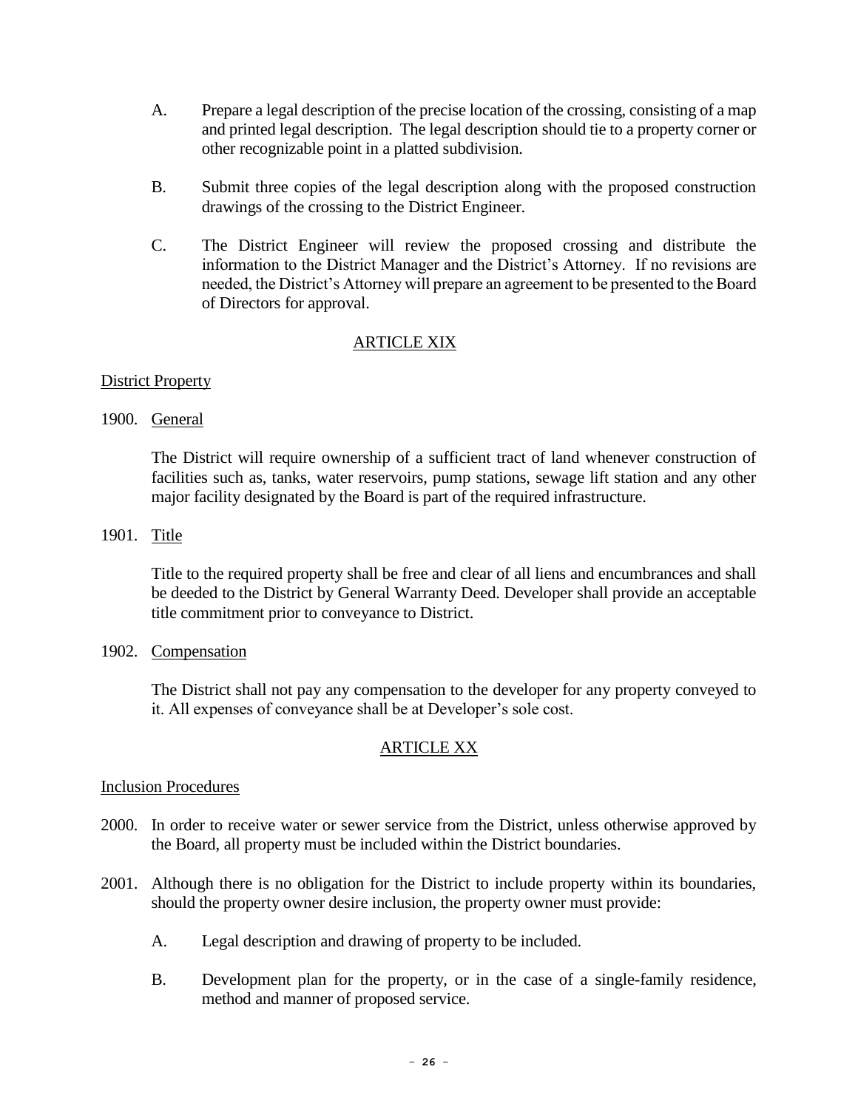- A. Prepare a legal description of the precise location of the crossing, consisting of a map and printed legal description. The legal description should tie to a property corner or other recognizable point in a platted subdivision.
- B. Submit three copies of the legal description along with the proposed construction drawings of the crossing to the District Engineer.
- C. The District Engineer will review the proposed crossing and distribute the information to the District Manager and the District's Attorney. If no revisions are needed, the District's Attorney will prepare an agreement to be presented to the Board of Directors for approval.

### ARTICLE XIX

### District Property

1900. General

The District will require ownership of a sufficient tract of land whenever construction of facilities such as, tanks, water reservoirs, pump stations, sewage lift station and any other major facility designated by the Board is part of the required infrastructure.

1901. Title

Title to the required property shall be free and clear of all liens and encumbrances and shall be deeded to the District by General Warranty Deed. Developer shall provide an acceptable title commitment prior to conveyance to District.

1902. Compensation

The District shall not pay any compensation to the developer for any property conveyed to it. All expenses of conveyance shall be at Developer's sole cost.

### ARTICLE XX

### Inclusion Procedures

- 2000. In order to receive water or sewer service from the District, unless otherwise approved by the Board, all property must be included within the District boundaries.
- 2001. Although there is no obligation for the District to include property within its boundaries, should the property owner desire inclusion, the property owner must provide:
	- A. Legal description and drawing of property to be included.
	- B. Development plan for the property, or in the case of a single-family residence, method and manner of proposed service.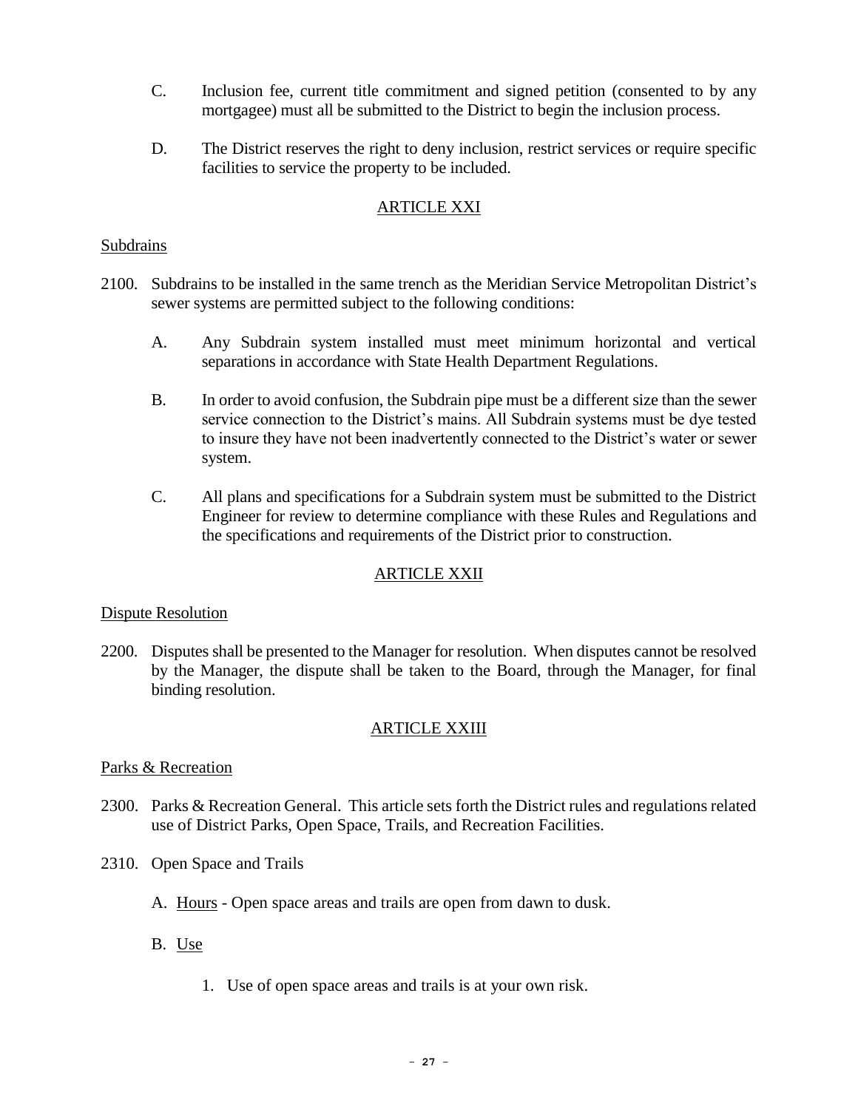- C. Inclusion fee, current title commitment and signed petition (consented to by any mortgagee) must all be submitted to the District to begin the inclusion process.
- D. The District reserves the right to deny inclusion, restrict services or require specific facilities to service the property to be included.

### ARTICLE XXI

#### Subdrains

- 2100. Subdrains to be installed in the same trench as the Meridian Service Metropolitan District's sewer systems are permitted subject to the following conditions:
	- A. Any Subdrain system installed must meet minimum horizontal and vertical separations in accordance with State Health Department Regulations.
	- B. In order to avoid confusion, the Subdrain pipe must be a different size than the sewer service connection to the District's mains. All Subdrain systems must be dye tested to insure they have not been inadvertently connected to the District's water or sewer system.
	- C. All plans and specifications for a Subdrain system must be submitted to the District Engineer for review to determine compliance with these Rules and Regulations and the specifications and requirements of the District prior to construction.

### ARTICLE XXII

### Dispute Resolution

2200. Disputes shall be presented to the Manager for resolution. When disputes cannot be resolved by the Manager, the dispute shall be taken to the Board, through the Manager, for final binding resolution.

### ARTICLE XXIII

### Parks & Recreation

- 2300. Parks & Recreation General. This article sets forth the District rules and regulations related use of District Parks, Open Space, Trails, and Recreation Facilities.
- 2310. Open Space and Trails
	- A. Hours Open space areas and trails are open from dawn to dusk.
	- B. Use
		- 1. Use of open space areas and trails is at your own risk.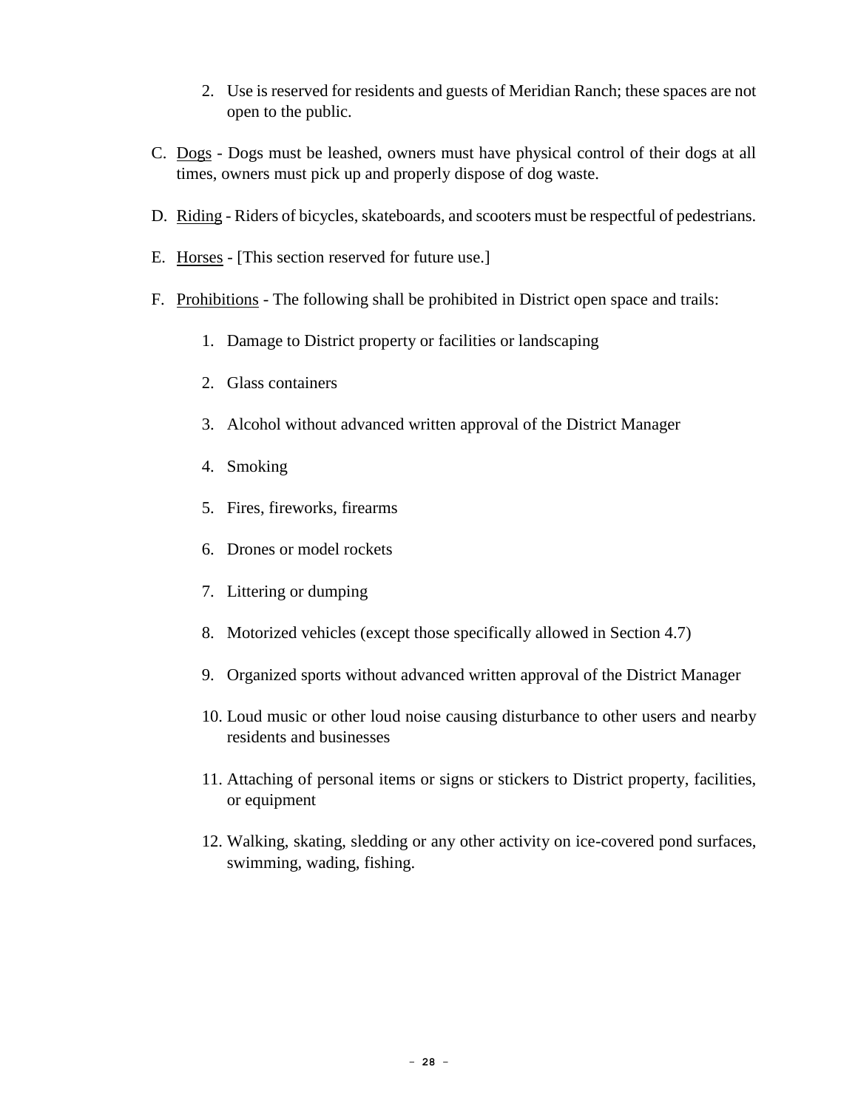- 2. Use is reserved for residents and guests of Meridian Ranch; these spaces are not open to the public.
- C. Dogs Dogs must be leashed, owners must have physical control of their dogs at all times, owners must pick up and properly dispose of dog waste.
- D. Riding Riders of bicycles, skateboards, and scooters must be respectful of pedestrians.
- E. Horses [This section reserved for future use.]
- F. Prohibitions The following shall be prohibited in District open space and trails:
	- 1. Damage to District property or facilities or landscaping
	- 2. Glass containers
	- 3. Alcohol without advanced written approval of the District Manager
	- 4. Smoking
	- 5. Fires, fireworks, firearms
	- 6. Drones or model rockets
	- 7. Littering or dumping
	- 8. Motorized vehicles (except those specifically allowed in Section 4.7)
	- 9. Organized sports without advanced written approval of the District Manager
	- 10. Loud music or other loud noise causing disturbance to other users and nearby residents and businesses
	- 11. Attaching of personal items or signs or stickers to District property, facilities, or equipment
	- 12. Walking, skating, sledding or any other activity on ice-covered pond surfaces, swimming, wading, fishing.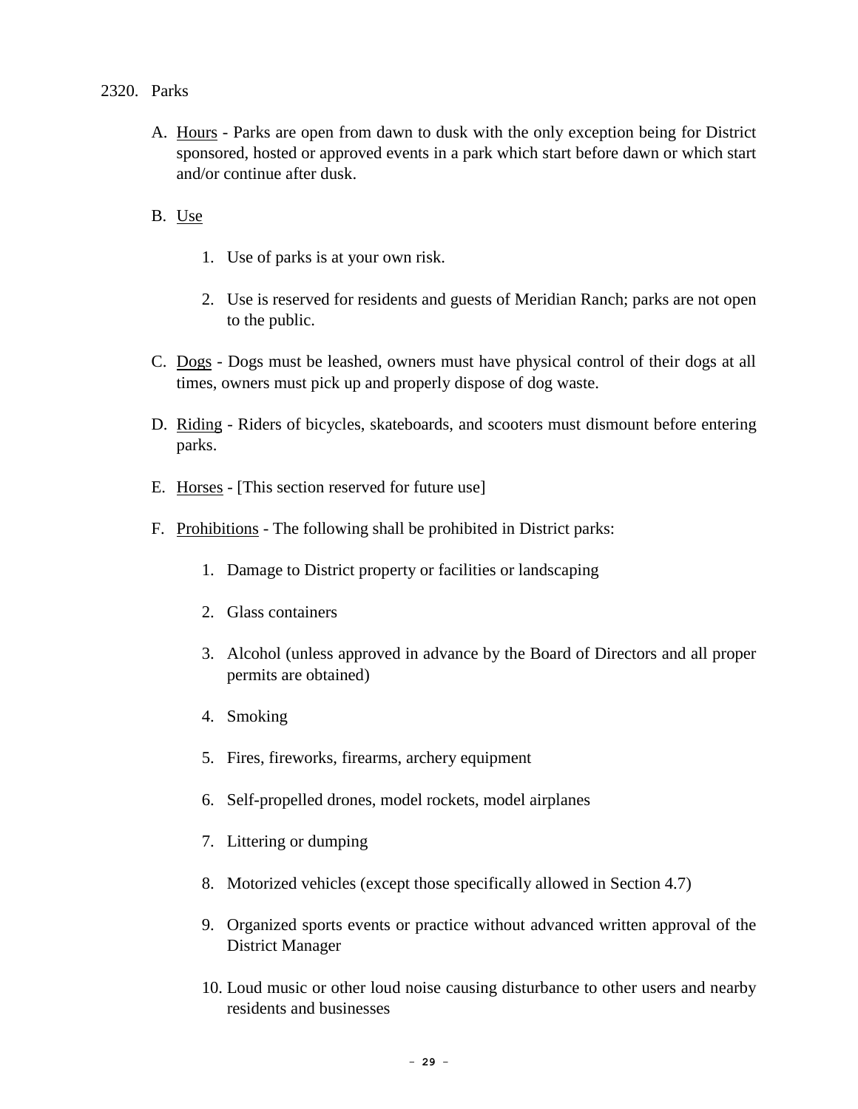### 2320. Parks

- A. Hours Parks are open from dawn to dusk with the only exception being for District sponsored, hosted or approved events in a park which start before dawn or which start and/or continue after dusk.
- B. Use
	- 1. Use of parks is at your own risk.
	- 2. Use is reserved for residents and guests of Meridian Ranch; parks are not open to the public.
- C. Dogs Dogs must be leashed, owners must have physical control of their dogs at all times, owners must pick up and properly dispose of dog waste.
- D. Riding Riders of bicycles, skateboards, and scooters must dismount before entering parks.
- E. Horses [This section reserved for future use]
- F. Prohibitions The following shall be prohibited in District parks:
	- 1. Damage to District property or facilities or landscaping
	- 2. Glass containers
	- 3. Alcohol (unless approved in advance by the Board of Directors and all proper permits are obtained)
	- 4. Smoking
	- 5. Fires, fireworks, firearms, archery equipment
	- 6. Self-propelled drones, model rockets, model airplanes
	- 7. Littering or dumping
	- 8. Motorized vehicles (except those specifically allowed in Section 4.7)
	- 9. Organized sports events or practice without advanced written approval of the District Manager
	- 10. Loud music or other loud noise causing disturbance to other users and nearby residents and businesses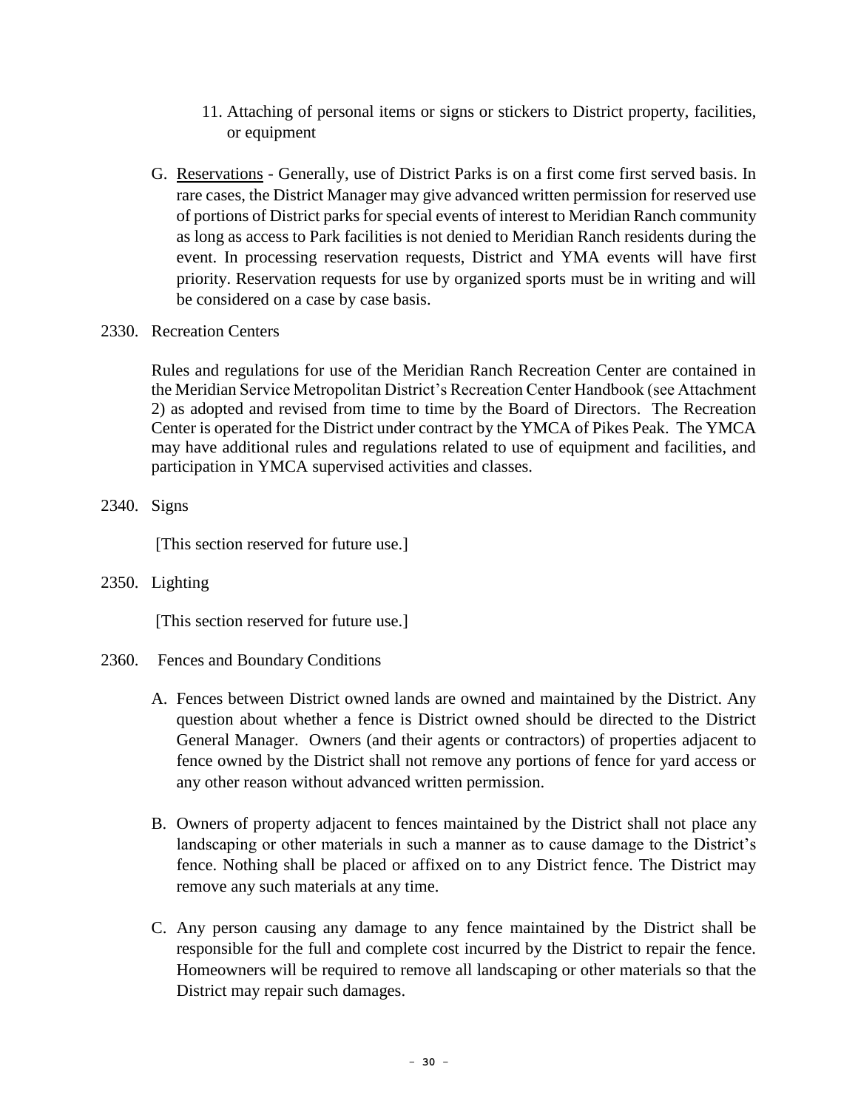- 11. Attaching of personal items or signs or stickers to District property, facilities, or equipment
- G. Reservations Generally, use of District Parks is on a first come first served basis. In rare cases, the District Manager may give advanced written permission for reserved use of portions of District parks for special events of interest to Meridian Ranch community as long as access to Park facilities is not denied to Meridian Ranch residents during the event. In processing reservation requests, District and YMA events will have first priority. Reservation requests for use by organized sports must be in writing and will be considered on a case by case basis.
- 2330. Recreation Centers

Rules and regulations for use of the Meridian Ranch Recreation Center are contained in the Meridian Service Metropolitan District's Recreation Center Handbook (see Attachment 2) as adopted and revised from time to time by the Board of Directors. The Recreation Center is operated for the District under contract by the YMCA of Pikes Peak. The YMCA may have additional rules and regulations related to use of equipment and facilities, and participation in YMCA supervised activities and classes.

2340. Signs

[This section reserved for future use.]

2350. Lighting

[This section reserved for future use.]

### 2360. Fences and Boundary Conditions

- A. Fences between District owned lands are owned and maintained by the District. Any question about whether a fence is District owned should be directed to the District General Manager. Owners (and their agents or contractors) of properties adjacent to fence owned by the District shall not remove any portions of fence for yard access or any other reason without advanced written permission.
- B. Owners of property adjacent to fences maintained by the District shall not place any landscaping or other materials in such a manner as to cause damage to the District's fence. Nothing shall be placed or affixed on to any District fence. The District may remove any such materials at any time.
- C. Any person causing any damage to any fence maintained by the District shall be responsible for the full and complete cost incurred by the District to repair the fence. Homeowners will be required to remove all landscaping or other materials so that the District may repair such damages.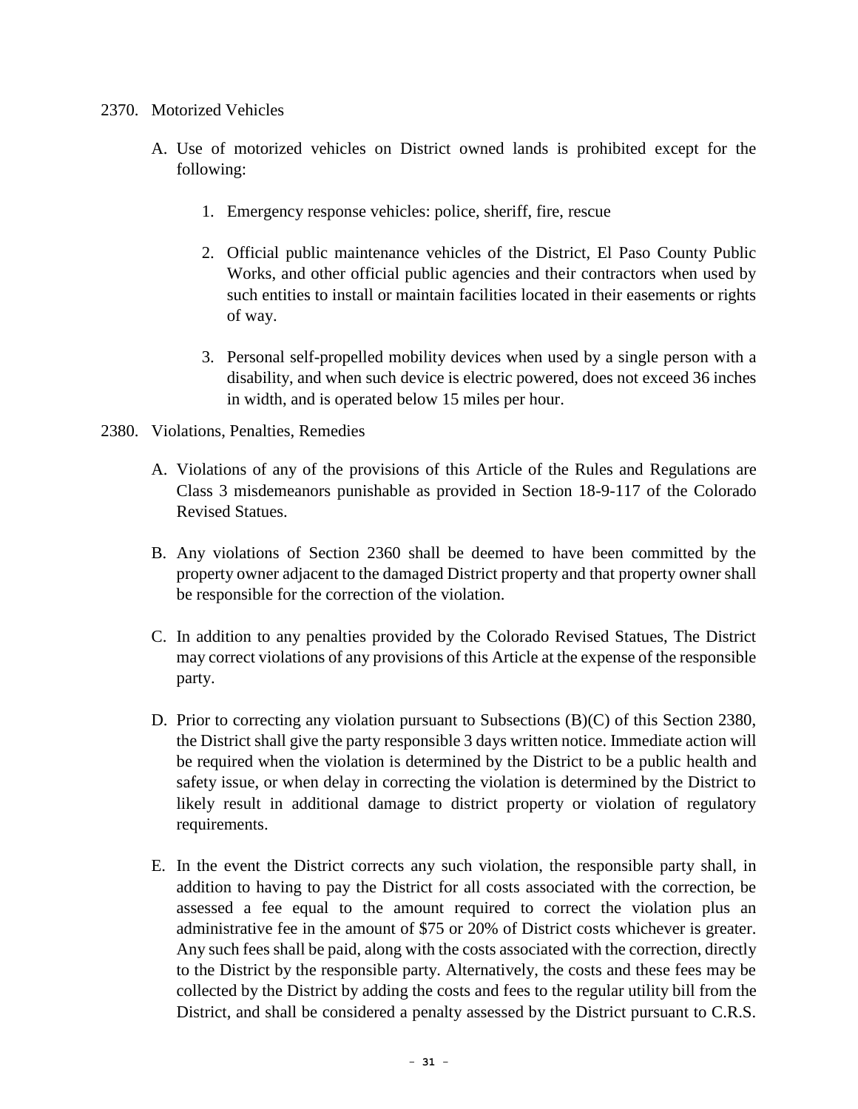### 2370. Motorized Vehicles

- A. Use of motorized vehicles on District owned lands is prohibited except for the following:
	- 1. Emergency response vehicles: police, sheriff, fire, rescue
	- 2. Official public maintenance vehicles of the District, El Paso County Public Works, and other official public agencies and their contractors when used by such entities to install or maintain facilities located in their easements or rights of way.
	- 3. Personal self-propelled mobility devices when used by a single person with a disability, and when such device is electric powered, does not exceed 36 inches in width, and is operated below 15 miles per hour.
- 2380. Violations, Penalties, Remedies
	- A. Violations of any of the provisions of this Article of the Rules and Regulations are Class 3 misdemeanors punishable as provided in Section 18-9-117 of the Colorado Revised Statues.
	- B. Any violations of Section 2360 shall be deemed to have been committed by the property owner adjacent to the damaged District property and that property owner shall be responsible for the correction of the violation.
	- C. In addition to any penalties provided by the Colorado Revised Statues, The District may correct violations of any provisions of this Article at the expense of the responsible party.
	- D. Prior to correcting any violation pursuant to Subsections (B)(C) of this Section 2380, the District shall give the party responsible 3 days written notice. Immediate action will be required when the violation is determined by the District to be a public health and safety issue, or when delay in correcting the violation is determined by the District to likely result in additional damage to district property or violation of regulatory requirements.
	- E. In the event the District corrects any such violation, the responsible party shall, in addition to having to pay the District for all costs associated with the correction, be assessed a fee equal to the amount required to correct the violation plus an administrative fee in the amount of \$75 or 20% of District costs whichever is greater. Any such fees shall be paid, along with the costs associated with the correction, directly to the District by the responsible party. Alternatively, the costs and these fees may be collected by the District by adding the costs and fees to the regular utility bill from the District, and shall be considered a penalty assessed by the District pursuant to C.R.S.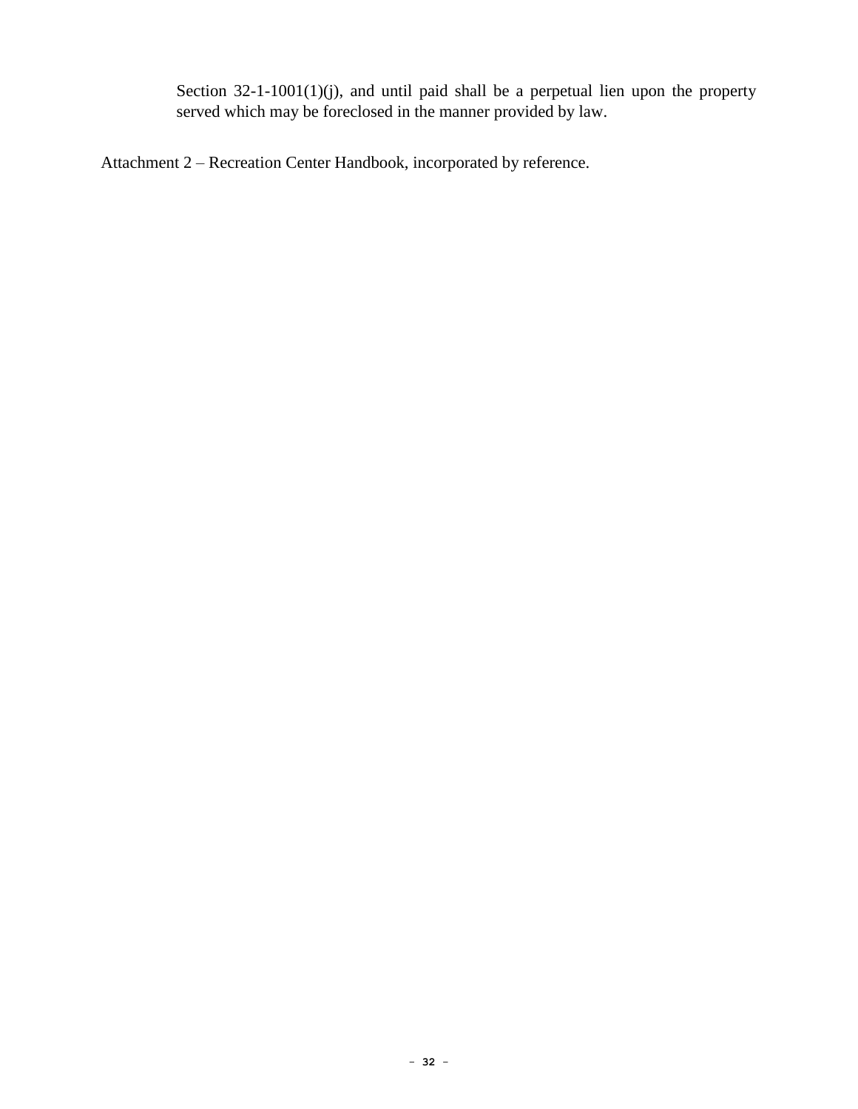Section 32-1-1001(1)(j), and until paid shall be a perpetual lien upon the property served which may be foreclosed in the manner provided by law.

Attachment 2 – Recreation Center Handbook, incorporated by reference.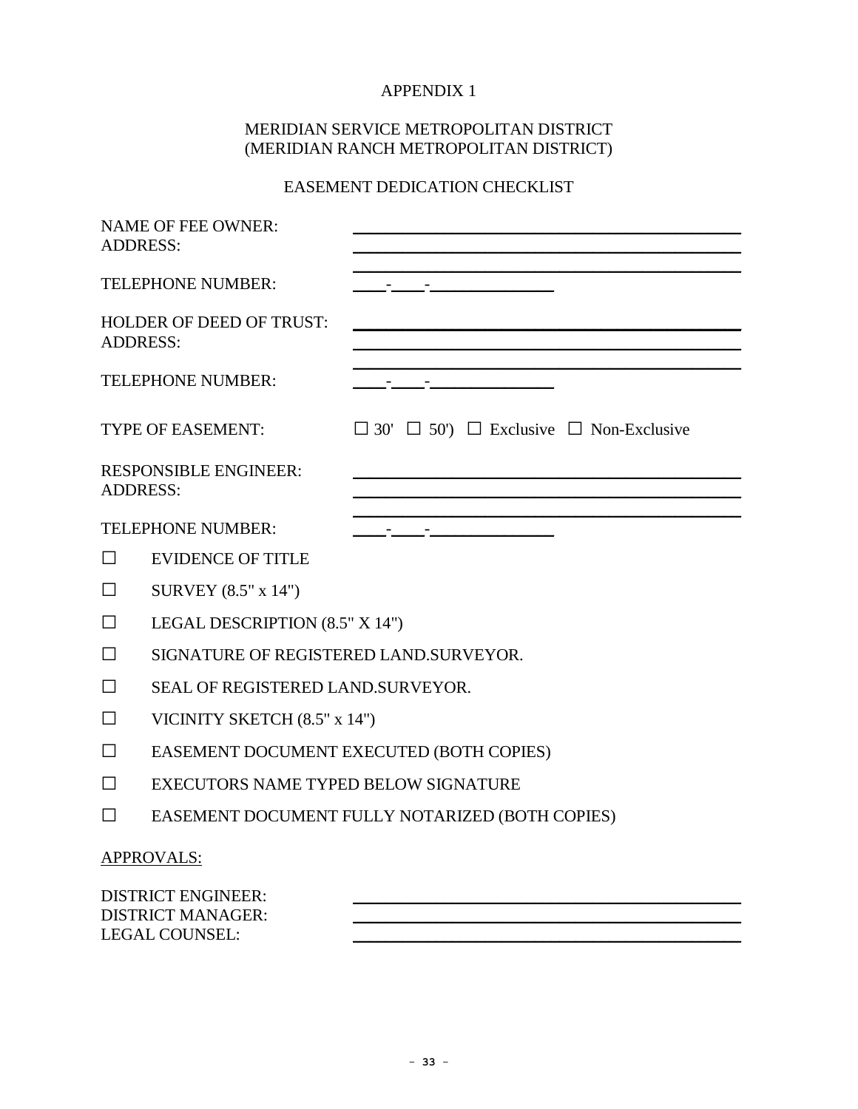## APPENDIX 1

### MERIDIAN SERVICE METROPOLITAN DISTRICT (MERIDIAN RANCH METROPOLITAN DISTRICT)

## EASEMENT DEDICATION CHECKLIST

| <b>ADDRESS:</b>                                       | <b>NAME OF FEE OWNER:</b>              |                                                              |  |  |
|-------------------------------------------------------|----------------------------------------|--------------------------------------------------------------|--|--|
|                                                       | <b>TELEPHONE NUMBER:</b>               |                                                              |  |  |
| <b>ADDRESS:</b>                                       | <b>HOLDER OF DEED OF TRUST:</b>        |                                                              |  |  |
|                                                       | <b>TELEPHONE NUMBER:</b>               |                                                              |  |  |
|                                                       | <b>TYPE OF EASEMENT:</b>               | $\Box$ 30' $\Box$ 50') $\Box$ Exclusive $\Box$ Non-Exclusive |  |  |
| <b>ADDRESS:</b>                                       | <b>RESPONSIBLE ENGINEER:</b>           |                                                              |  |  |
|                                                       | TELEPHONE NUMBER:                      | <u> 1989 - Andrew Tanner, amerikansk politiker (</u>         |  |  |
| $\Box$                                                | <b>EVIDENCE OF TITLE</b>               |                                                              |  |  |
| $\Box$                                                | SURVEY (8.5" x 14")                    |                                                              |  |  |
| $\Box$                                                | LEGAL DESCRIPTION (8.5" X 14")         |                                                              |  |  |
| $\Box$                                                | SIGNATURE OF REGISTERED LAND.SURVEYOR. |                                                              |  |  |
| $\Box$                                                | SEAL OF REGISTERED LAND. SURVEYOR.     |                                                              |  |  |
| $\Box$                                                | VICINITY SKETCH (8.5" x 14")           |                                                              |  |  |
| $\Box$                                                |                                        | EASEMENT DOCUMENT EXECUTED (BOTH COPIES)                     |  |  |
| $\Box$                                                | EXECUTORS NAME TYPED BELOW SIGNATURE   |                                                              |  |  |
| П                                                     |                                        | EASEMENT DOCUMENT FULLY NOTARIZED (BOTH COPIES)              |  |  |
|                                                       | <b>APPROVALS:</b>                      |                                                              |  |  |
| <b>DISTRICT ENGINEER:</b><br><b>DISTRICT MANAGER:</b> |                                        |                                                              |  |  |

LEGAL COUNSEL: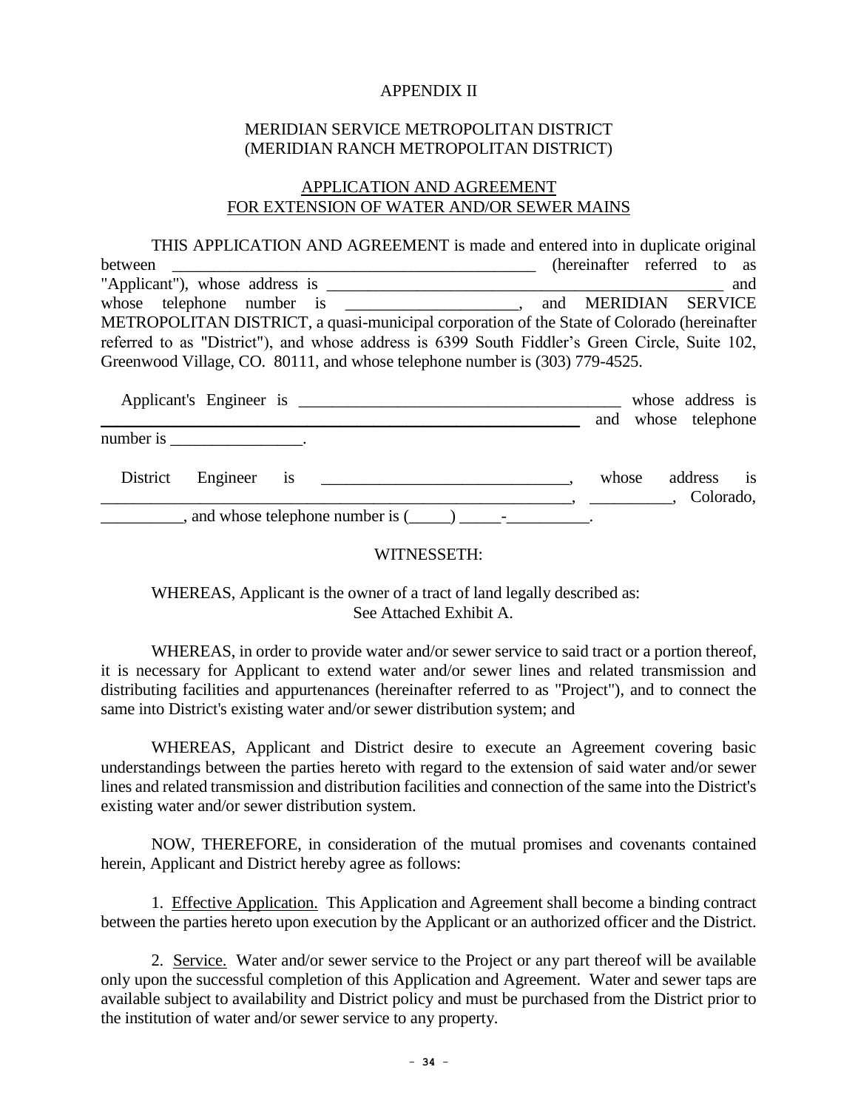#### APPENDIX II

#### MERIDIAN SERVICE METROPOLITAN DISTRICT (MERIDIAN RANCH METROPOLITAN DISTRICT)

#### APPLICATION AND AGREEMENT FOR EXTENSION OF WATER AND/OR SEWER MAINS

THIS APPLICATION AND AGREEMENT is made and entered into in duplicate original between the contract of the contract of the contract of the contract of the contract of the contract of the contract of the contract of the contract of the contract of the contract of the contract of the contract of the co "Applicant"), whose address is \_\_\_\_\_\_\_\_\_\_\_\_\_\_\_\_\_\_\_\_\_\_\_\_\_\_\_\_\_\_\_\_\_\_\_\_\_\_\_\_\_\_\_\_\_\_\_\_ and whose telephone number is \_\_\_\_\_\_\_\_\_\_\_\_\_\_\_\_\_\_\_\_, and MERIDIAN SERVICE METROPOLITAN DISTRICT, a quasi-municipal corporation of the State of Colorado (hereinafter referred to as "District"), and whose address is 6399 South Fiddler's Green Circle, Suite 102, Greenwood Village, CO. 80111, and whose telephone number is (303) 779-4525.

|          |                                  |                                                      |       | whose address is        |  |
|----------|----------------------------------|------------------------------------------------------|-------|-------------------------|--|
|          |                                  |                                                      |       | and whose telephone     |  |
|          | number is _____________________. |                                                      |       |                         |  |
| District | Engineer is                      |                                                      | whose | address is<br>Colorado, |  |
|          |                                  | $\Box$ , and whose telephone number is $(\Box \Box)$ |       |                         |  |

#### WITNESSETH:

WHEREAS, Applicant is the owner of a tract of land legally described as: See Attached Exhibit A.

WHEREAS, in order to provide water and/or sewer service to said tract or a portion thereof, it is necessary for Applicant to extend water and/or sewer lines and related transmission and distributing facilities and appurtenances (hereinafter referred to as "Project"), and to connect the same into District's existing water and/or sewer distribution system; and

WHEREAS, Applicant and District desire to execute an Agreement covering basic understandings between the parties hereto with regard to the extension of said water and/or sewer lines and related transmission and distribution facilities and connection of the same into the District's existing water and/or sewer distribution system.

NOW, THEREFORE, in consideration of the mutual promises and covenants contained herein, Applicant and District hereby agree as follows:

1. Effective Application. This Application and Agreement shall become a binding contract between the parties hereto upon execution by the Applicant or an authorized officer and the District.

2. Service. Water and/or sewer service to the Project or any part thereof will be available only upon the successful completion of this Application and Agreement. Water and sewer taps are available subject to availability and District policy and must be purchased from the District prior to the institution of water and/or sewer service to any property.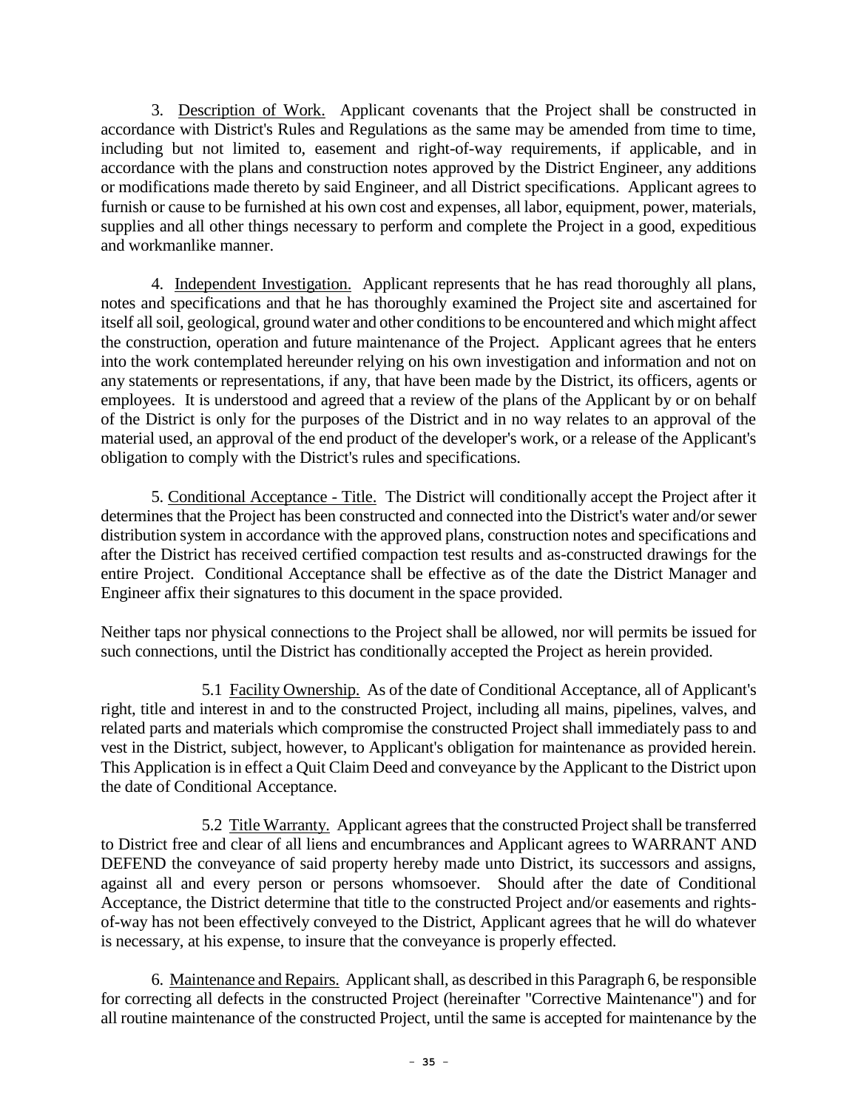3. Description of Work. Applicant covenants that the Project shall be constructed in accordance with District's Rules and Regulations as the same may be amended from time to time, including but not limited to, easement and right-of-way requirements, if applicable, and in accordance with the plans and construction notes approved by the District Engineer, any additions or modifications made thereto by said Engineer, and all District specifications. Applicant agrees to furnish or cause to be furnished at his own cost and expenses, all labor, equipment, power, materials, supplies and all other things necessary to perform and complete the Project in a good, expeditious and workmanlike manner.

4. Independent Investigation. Applicant represents that he has read thoroughly all plans, notes and specifications and that he has thoroughly examined the Project site and ascertained for itself all soil, geological, ground water and other conditions to be encountered and which might affect the construction, operation and future maintenance of the Project. Applicant agrees that he enters into the work contemplated hereunder relying on his own investigation and information and not on any statements or representations, if any, that have been made by the District, its officers, agents or employees. It is understood and agreed that a review of the plans of the Applicant by or on behalf of the District is only for the purposes of the District and in no way relates to an approval of the material used, an approval of the end product of the developer's work, or a release of the Applicant's obligation to comply with the District's rules and specifications.

5. Conditional Acceptance - Title. The District will conditionally accept the Project after it determines that the Project has been constructed and connected into the District's water and/or sewer distribution system in accordance with the approved plans, construction notes and specifications and after the District has received certified compaction test results and as-constructed drawings for the entire Project. Conditional Acceptance shall be effective as of the date the District Manager and Engineer affix their signatures to this document in the space provided.

Neither taps nor physical connections to the Project shall be allowed, nor will permits be issued for such connections, until the District has conditionally accepted the Project as herein provided.

5.1 Facility Ownership. As of the date of Conditional Acceptance, all of Applicant's right, title and interest in and to the constructed Project, including all mains, pipelines, valves, and related parts and materials which compromise the constructed Project shall immediately pass to and vest in the District, subject, however, to Applicant's obligation for maintenance as provided herein. This Application is in effect a Quit Claim Deed and conveyance by the Applicant to the District upon the date of Conditional Acceptance.

5.2 Title Warranty. Applicant agrees that the constructed Project shall be transferred to District free and clear of all liens and encumbrances and Applicant agrees to WARRANT AND DEFEND the conveyance of said property hereby made unto District, its successors and assigns, against all and every person or persons whomsoever. Should after the date of Conditional Acceptance, the District determine that title to the constructed Project and/or easements and rightsof-way has not been effectively conveyed to the District, Applicant agrees that he will do whatever is necessary, at his expense, to insure that the conveyance is properly effected.

6. Maintenance and Repairs. Applicant shall, as described in this Paragraph 6, be responsible for correcting all defects in the constructed Project (hereinafter "Corrective Maintenance") and for all routine maintenance of the constructed Project, until the same is accepted for maintenance by the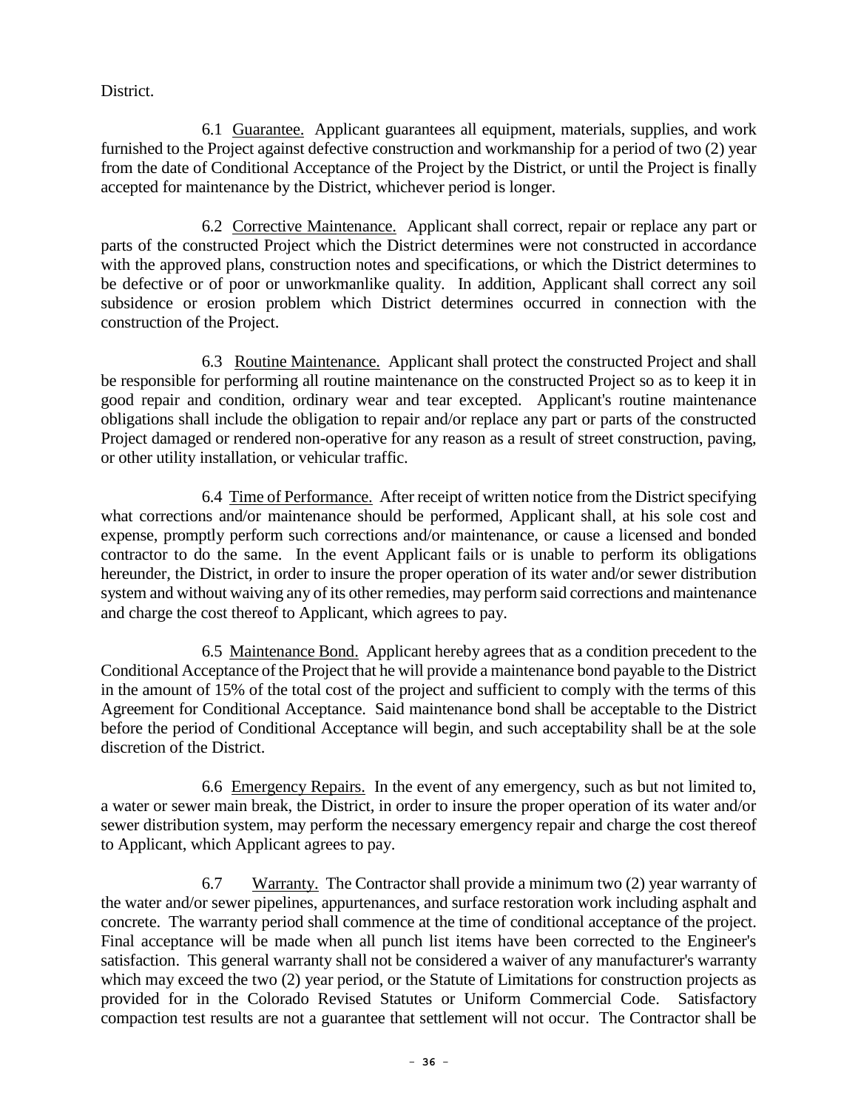District.

6.1 Guarantee. Applicant guarantees all equipment, materials, supplies, and work furnished to the Project against defective construction and workmanship for a period of two (2) year from the date of Conditional Acceptance of the Project by the District, or until the Project is finally accepted for maintenance by the District, whichever period is longer.

6.2 Corrective Maintenance. Applicant shall correct, repair or replace any part or parts of the constructed Project which the District determines were not constructed in accordance with the approved plans, construction notes and specifications, or which the District determines to be defective or of poor or unworkmanlike quality. In addition, Applicant shall correct any soil subsidence or erosion problem which District determines occurred in connection with the construction of the Project.

6.3 Routine Maintenance. Applicant shall protect the constructed Project and shall be responsible for performing all routine maintenance on the constructed Project so as to keep it in good repair and condition, ordinary wear and tear excepted. Applicant's routine maintenance obligations shall include the obligation to repair and/or replace any part or parts of the constructed Project damaged or rendered non-operative for any reason as a result of street construction, paving, or other utility installation, or vehicular traffic.

6.4 Time of Performance. After receipt of written notice from the District specifying what corrections and/or maintenance should be performed, Applicant shall, at his sole cost and expense, promptly perform such corrections and/or maintenance, or cause a licensed and bonded contractor to do the same. In the event Applicant fails or is unable to perform its obligations hereunder, the District, in order to insure the proper operation of its water and/or sewer distribution system and without waiving any of its other remedies, may perform said corrections and maintenance and charge the cost thereof to Applicant, which agrees to pay.

6.5 Maintenance Bond. Applicant hereby agrees that as a condition precedent to the Conditional Acceptance of the Project that he will provide a maintenance bond payable to the District in the amount of 15% of the total cost of the project and sufficient to comply with the terms of this Agreement for Conditional Acceptance. Said maintenance bond shall be acceptable to the District before the period of Conditional Acceptance will begin, and such acceptability shall be at the sole discretion of the District.

6.6 Emergency Repairs. In the event of any emergency, such as but not limited to, a water or sewer main break, the District, in order to insure the proper operation of its water and/or sewer distribution system, may perform the necessary emergency repair and charge the cost thereof to Applicant, which Applicant agrees to pay.

6.7 Warranty. The Contractor shall provide a minimum two (2) year warranty of the water and/or sewer pipelines, appurtenances, and surface restoration work including asphalt and concrete. The warranty period shall commence at the time of conditional acceptance of the project. Final acceptance will be made when all punch list items have been corrected to the Engineer's satisfaction. This general warranty shall not be considered a waiver of any manufacturer's warranty which may exceed the two (2) year period, or the Statute of Limitations for construction projects as provided for in the Colorado Revised Statutes or Uniform Commercial Code. Satisfactory compaction test results are not a guarantee that settlement will not occur. The Contractor shall be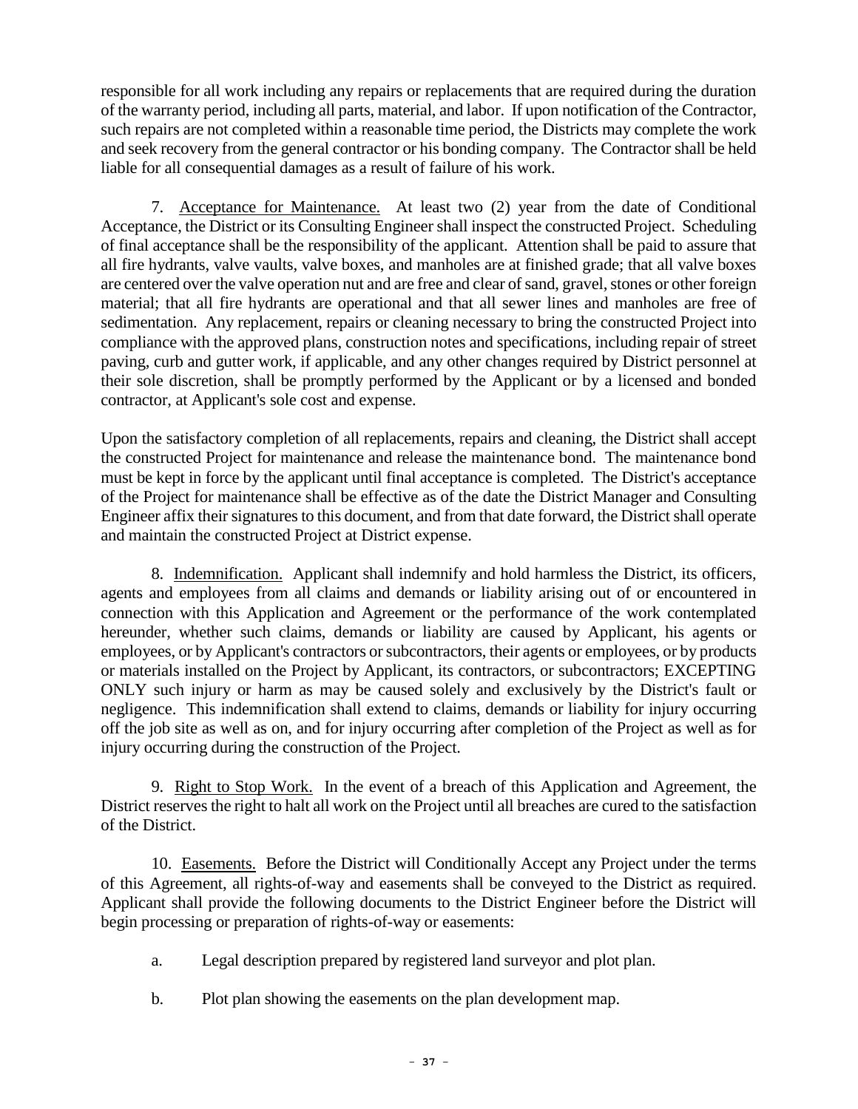responsible for all work including any repairs or replacements that are required during the duration of the warranty period, including all parts, material, and labor. If upon notification of the Contractor, such repairs are not completed within a reasonable time period, the Districts may complete the work and seek recovery from the general contractor or his bonding company. The Contractor shall be held liable for all consequential damages as a result of failure of his work.

7. Acceptance for Maintenance. At least two (2) year from the date of Conditional Acceptance, the District or its Consulting Engineer shall inspect the constructed Project. Scheduling of final acceptance shall be the responsibility of the applicant. Attention shall be paid to assure that all fire hydrants, valve vaults, valve boxes, and manholes are at finished grade; that all valve boxes are centered over the valve operation nut and are free and clear of sand, gravel, stones or other foreign material; that all fire hydrants are operational and that all sewer lines and manholes are free of sedimentation. Any replacement, repairs or cleaning necessary to bring the constructed Project into compliance with the approved plans, construction notes and specifications, including repair of street paving, curb and gutter work, if applicable, and any other changes required by District personnel at their sole discretion, shall be promptly performed by the Applicant or by a licensed and bonded contractor, at Applicant's sole cost and expense.

Upon the satisfactory completion of all replacements, repairs and cleaning, the District shall accept the constructed Project for maintenance and release the maintenance bond. The maintenance bond must be kept in force by the applicant until final acceptance is completed. The District's acceptance of the Project for maintenance shall be effective as of the date the District Manager and Consulting Engineer affix their signatures to this document, and from that date forward, the District shall operate and maintain the constructed Project at District expense.

8. Indemnification. Applicant shall indemnify and hold harmless the District, its officers, agents and employees from all claims and demands or liability arising out of or encountered in connection with this Application and Agreement or the performance of the work contemplated hereunder, whether such claims, demands or liability are caused by Applicant, his agents or employees, or by Applicant's contractors or subcontractors, their agents or employees, or by products or materials installed on the Project by Applicant, its contractors, or subcontractors; EXCEPTING ONLY such injury or harm as may be caused solely and exclusively by the District's fault or negligence. This indemnification shall extend to claims, demands or liability for injury occurring off the job site as well as on, and for injury occurring after completion of the Project as well as for injury occurring during the construction of the Project.

9. Right to Stop Work. In the event of a breach of this Application and Agreement, the District reserves the right to halt all work on the Project until all breaches are cured to the satisfaction of the District.

10. Easements. Before the District will Conditionally Accept any Project under the terms of this Agreement, all rights-of-way and easements shall be conveyed to the District as required. Applicant shall provide the following documents to the District Engineer before the District will begin processing or preparation of rights-of-way or easements:

- a. Legal description prepared by registered land surveyor and plot plan.
- b. Plot plan showing the easements on the plan development map.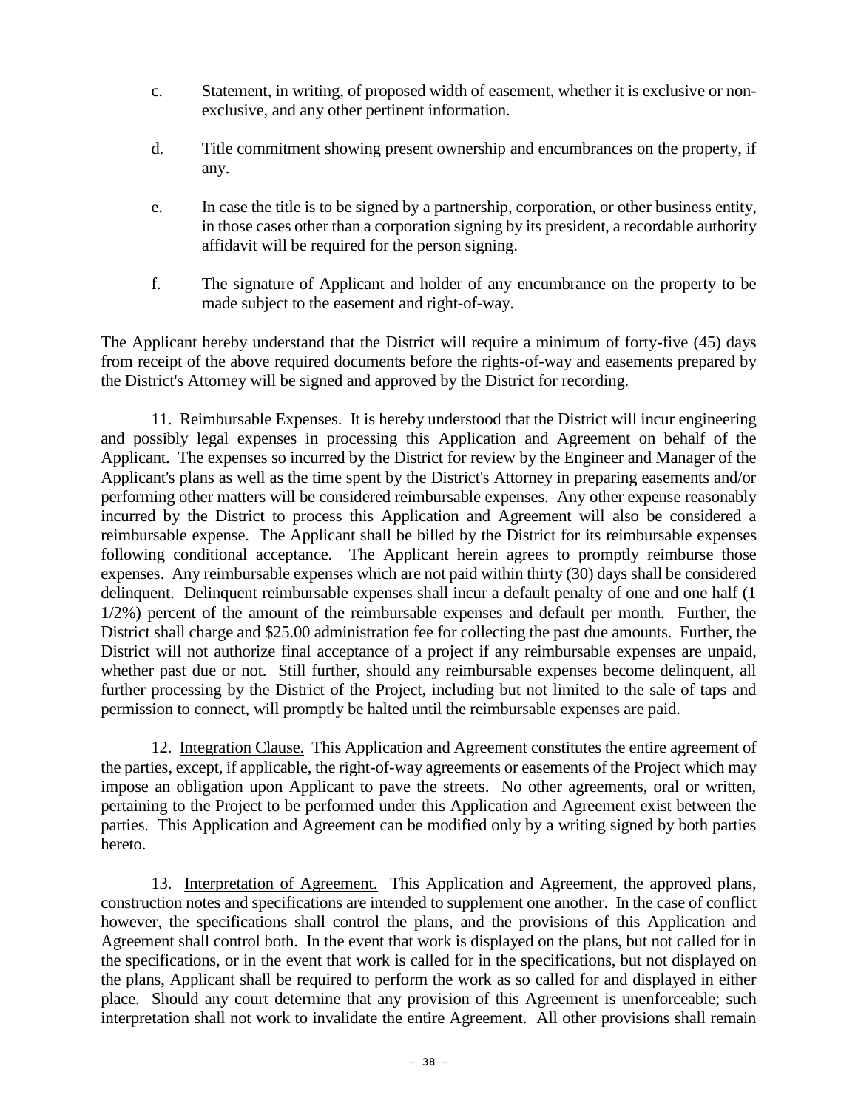- c. Statement, in writing, of proposed width of easement, whether it is exclusive or nonexclusive, and any other pertinent information.
- d. Title commitment showing present ownership and encumbrances on the property, if any.
- e. In case the title is to be signed by a partnership, corporation, or other business entity, in those cases other than a corporation signing by its president, a recordable authority affidavit will be required for the person signing.
- f. The signature of Applicant and holder of any encumbrance on the property to be made subject to the easement and right-of-way.

The Applicant hereby understand that the District will require a minimum of forty-five (45) days from receipt of the above required documents before the rights-of-way and easements prepared by the District's Attorney will be signed and approved by the District for recording.

11. Reimbursable Expenses. It is hereby understood that the District will incur engineering and possibly legal expenses in processing this Application and Agreement on behalf of the Applicant. The expenses so incurred by the District for review by the Engineer and Manager of the Applicant's plans as well as the time spent by the District's Attorney in preparing easements and/or performing other matters will be considered reimbursable expenses. Any other expense reasonably incurred by the District to process this Application and Agreement will also be considered a reimbursable expense. The Applicant shall be billed by the District for its reimbursable expenses following conditional acceptance. The Applicant herein agrees to promptly reimburse those expenses. Any reimbursable expenses which are not paid within thirty (30) days shall be considered delinquent. Delinquent reimbursable expenses shall incur a default penalty of one and one half (1 1/2%) percent of the amount of the reimbursable expenses and default per month. Further, the District shall charge and \$25.00 administration fee for collecting the past due amounts. Further, the District will not authorize final acceptance of a project if any reimbursable expenses are unpaid, whether past due or not. Still further, should any reimbursable expenses become delinquent, all further processing by the District of the Project, including but not limited to the sale of taps and permission to connect, will promptly be halted until the reimbursable expenses are paid.

12. Integration Clause. This Application and Agreement constitutes the entire agreement of the parties, except, if applicable, the right-of-way agreements or easements of the Project which may impose an obligation upon Applicant to pave the streets. No other agreements, oral or written, pertaining to the Project to be performed under this Application and Agreement exist between the parties. This Application and Agreement can be modified only by a writing signed by both parties hereto.

13. Interpretation of Agreement. This Application and Agreement, the approved plans, construction notes and specifications are intended to supplement one another. In the case of conflict however, the specifications shall control the plans, and the provisions of this Application and Agreement shall control both. In the event that work is displayed on the plans, but not called for in the specifications, or in the event that work is called for in the specifications, but not displayed on the plans, Applicant shall be required to perform the work as so called for and displayed in either place. Should any court determine that any provision of this Agreement is unenforceable; such interpretation shall not work to invalidate the entire Agreement. All other provisions shall remain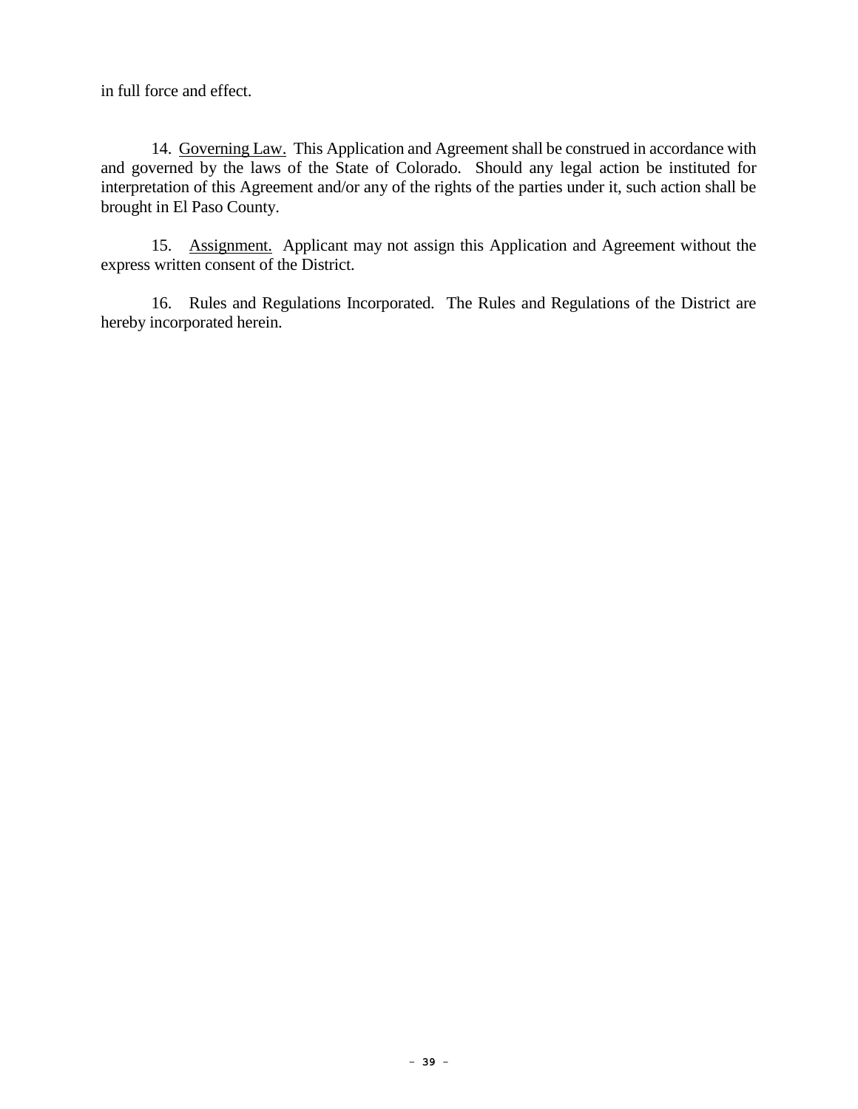in full force and effect.

14. Governing Law. This Application and Agreement shall be construed in accordance with and governed by the laws of the State of Colorado. Should any legal action be instituted for interpretation of this Agreement and/or any of the rights of the parties under it, such action shall be brought in El Paso County.

15. Assignment. Applicant may not assign this Application and Agreement without the express written consent of the District.

16. Rules and Regulations Incorporated. The Rules and Regulations of the District are hereby incorporated herein.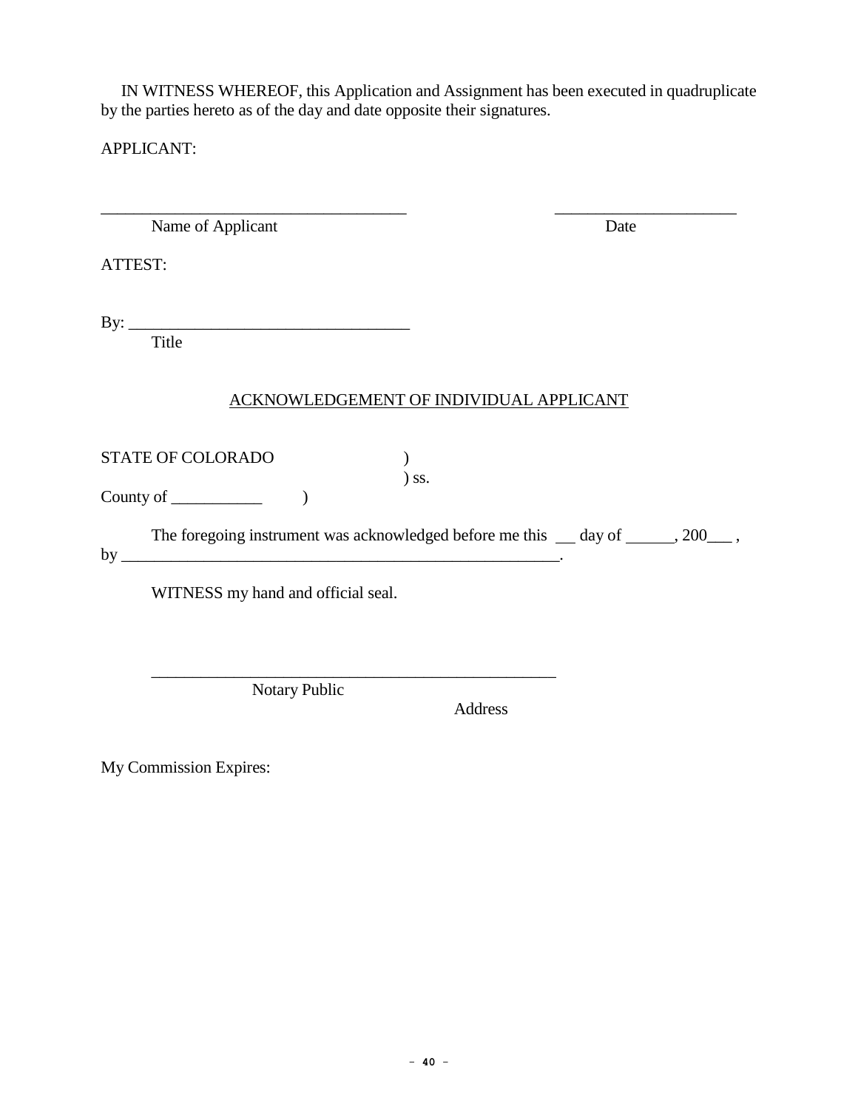IN WITNESS WHEREOF, this Application and Assignment has been executed in quadruplicate by the parties hereto as of the day and date opposite their signatures.

APPLICANT:

\_\_\_\_\_\_\_\_\_\_\_\_\_\_\_\_\_\_\_\_\_\_\_\_\_\_\_\_\_\_\_\_\_\_\_\_\_ \_\_\_\_\_\_\_\_\_\_\_\_\_\_\_\_\_\_\_\_\_\_ Name of Applicant Date

ATTEST:

By: \_\_\_\_\_\_\_\_\_\_\_\_\_\_\_\_\_\_\_\_\_\_\_\_\_\_\_\_\_\_\_\_\_\_

Title

## ACKNOWLEDGEMENT OF INDIVIDUAL APPLICANT

STATE OF COLORADO )

County of  $\qquad \qquad$  )

The foregoing instrument was acknowledged before me this  $\_\_$  day of  $\_\_$ , 200 $\_\_$ , by  $\overline{\phantom{a}}$ 

) ss.

WITNESS my hand and official seal.

Notary Public

Address

 $\mathcal{L}_\text{max} = \frac{1}{2} \sum_{i=1}^n \frac{1}{2} \sum_{i=1}^n \frac{1}{2} \sum_{i=1}^n \frac{1}{2} \sum_{i=1}^n \frac{1}{2} \sum_{i=1}^n \frac{1}{2} \sum_{i=1}^n \frac{1}{2} \sum_{i=1}^n \frac{1}{2} \sum_{i=1}^n \frac{1}{2} \sum_{i=1}^n \frac{1}{2} \sum_{i=1}^n \frac{1}{2} \sum_{i=1}^n \frac{1}{2} \sum_{i=1}^n \frac{1}{2} \sum_{i=1}^n$ 

My Commission Expires: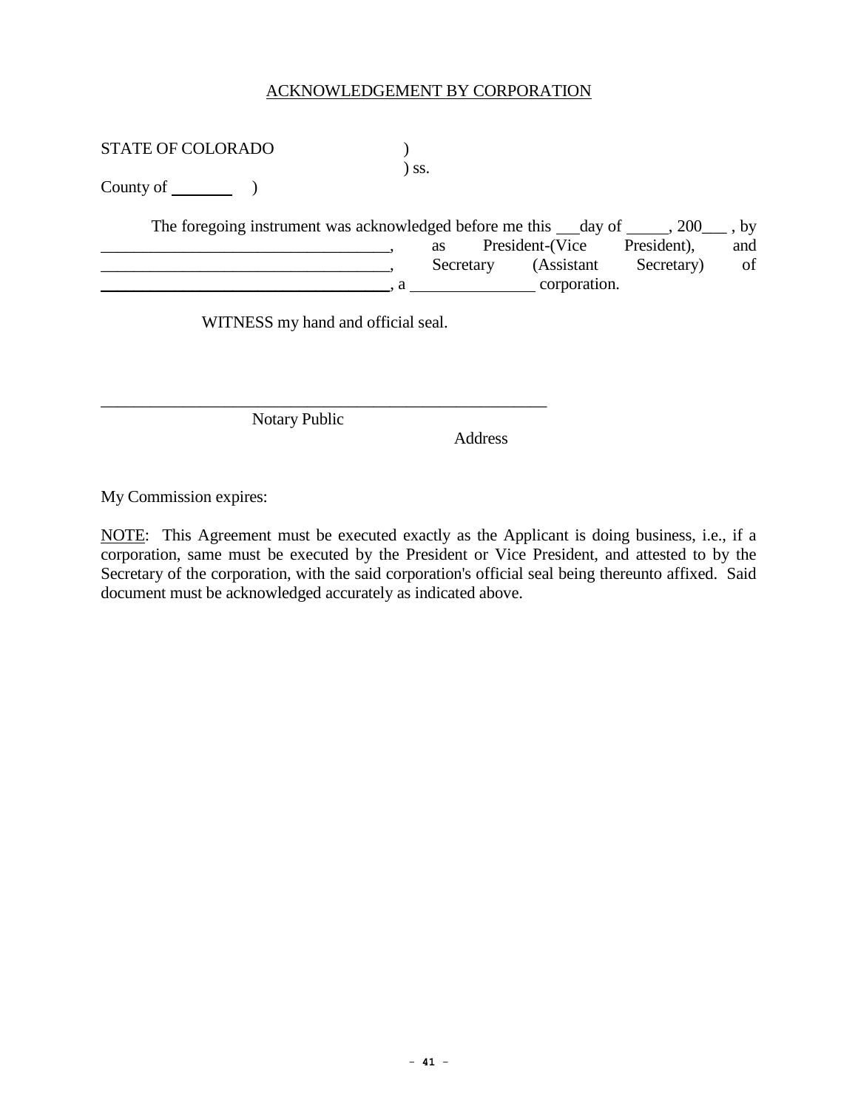#### ACKNOWLEDGEMENT BY CORPORATION

STATE OF COLORADO  $)$ 

) ss.

County of )

| The foregoing instrument was acknowledged before me this day of $\,$ , 200 $\,$ , by |           |                 |             |     |
|--------------------------------------------------------------------------------------|-----------|-----------------|-------------|-----|
|                                                                                      | as        | President-(Vice | President), | and |
|                                                                                      | Secretary | (Assistant      | Secretary)  | of  |
|                                                                                      |           | corporation.    |             |     |

WITNESS my hand and official seal.

\_\_\_\_\_\_\_\_\_\_\_\_\_\_\_\_\_\_\_\_\_\_\_\_\_\_\_\_\_\_\_\_\_\_\_\_\_\_\_\_\_\_\_\_\_\_\_\_\_\_\_\_\_\_

Notary Public

Address

My Commission expires:

NOTE: This Agreement must be executed exactly as the Applicant is doing business, i.e., if a corporation, same must be executed by the President or Vice President, and attested to by the Secretary of the corporation, with the said corporation's official seal being thereunto affixed. Said document must be acknowledged accurately as indicated above.